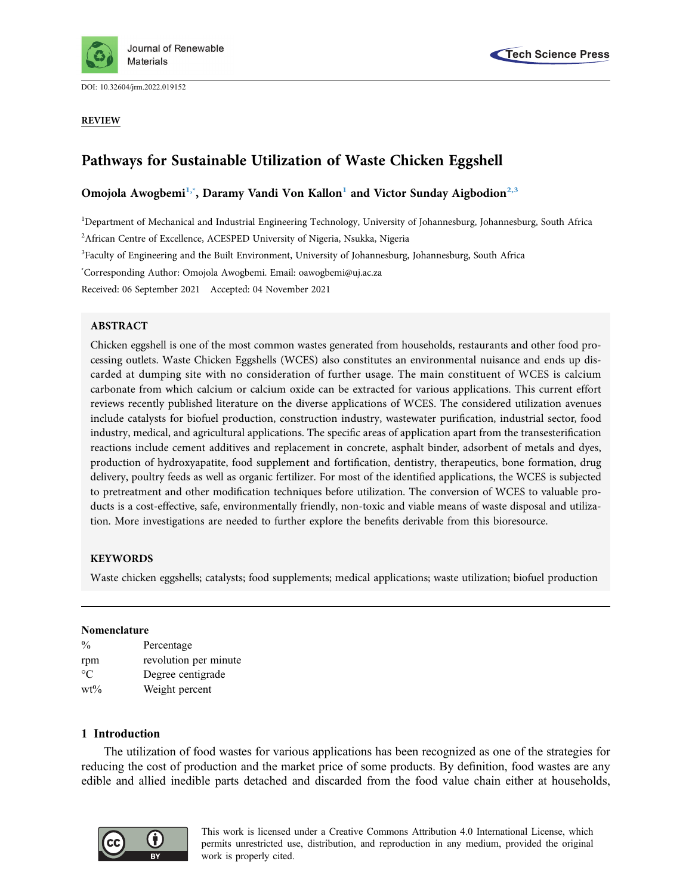

DOI: [10.32604/jrm.2022.019152](http://dx.doi.org/10.32604/jrm.2022.019152)

REVIEW



# Pathways for Sustainable Utilization of Waste Chicken Eggshell

# Omojola Awogbemi<sup>[1](#page-0-0)[,\\*](#page-0-1)</sup>, Daramy Vandi Von Kallon<sup>1</sup> and Victor Sunday Aigbodion<sup>2,[3](#page-0-3)</sup>

<span id="page-0-0"></span><sup>1</sup>Department of Mechanical and Industrial Engineering Technology, University of Johannesburg, Johannesburg, South Africa

<span id="page-0-2"></span><sup>2</sup>African Centre of Excellence, ACESPED University of Nigeria, Nsukka, Nigeria

<span id="page-0-3"></span><sup>3</sup>Faculty of Engineering and the Built Environment, University of Johannesburg, Johannesburg, South Africa

<span id="page-0-1"></span>\* Corresponding Author: Omojola Awogbemi. Email: [oawogbemi@uj.ac.za](mailto:oawogbemi@uj.ac.za)

Received: 06 September 2021 Accepted: 04 November 2021

# ABSTRACT

Chicken eggshell is one of the most common wastes generated from households, restaurants and other food processing outlets. Waste Chicken Eggshells (WCES) also constitutes an environmental nuisance and ends up discarded at dumping site with no consideration of further usage. The main constituent of WCES is calcium carbonate from which calcium or calcium oxide can be extracted for various applications. This current effort reviews recently published literature on the diverse applications of WCES. The considered utilization avenues include catalysts for biofuel production, construction industry, wastewater purification, industrial sector, food industry, medical, and agricultural applications. The specific areas of application apart from the transesterification reactions include cement additives and replacement in concrete, asphalt binder, adsorbent of metals and dyes, production of hydroxyapatite, food supplement and fortification, dentistry, therapeutics, bone formation, drug delivery, poultry feeds as well as organic fertilizer. For most of the identified applications, the WCES is subjected to pretreatment and other modification techniques before utilization. The conversion of WCES to valuable products is a cost-effective, safe, environmentally friendly, non-toxic and viable means of waste disposal and utilization. More investigations are needed to further explore the benefits derivable from this bioresource.

# **KEYWORDS**

Waste chicken eggshells; catalysts; food supplements; medical applications; waste utilization; biofuel production

# Nomenclature

| $\frac{0}{0}$ | Percentage            |
|---------------|-----------------------|
| rpm           | revolution per minute |
| $^{\circ}C$   | Degree centigrade     |
| $wt\%$        | Weight percent        |

# 1 Introduction

The utilization of food wastes for various applications has been recognized as one of the strategies for reducing the cost of production and the market price of some products. By definition, food wastes are any edible and allied inedible parts detached and discarded from the food value chain either at households,



This work is licensed under a Creative Commons Attribution 4.0 International License, which permits unrestricted use, distribution, and reproduction in any medium, provided the original work is properly cited.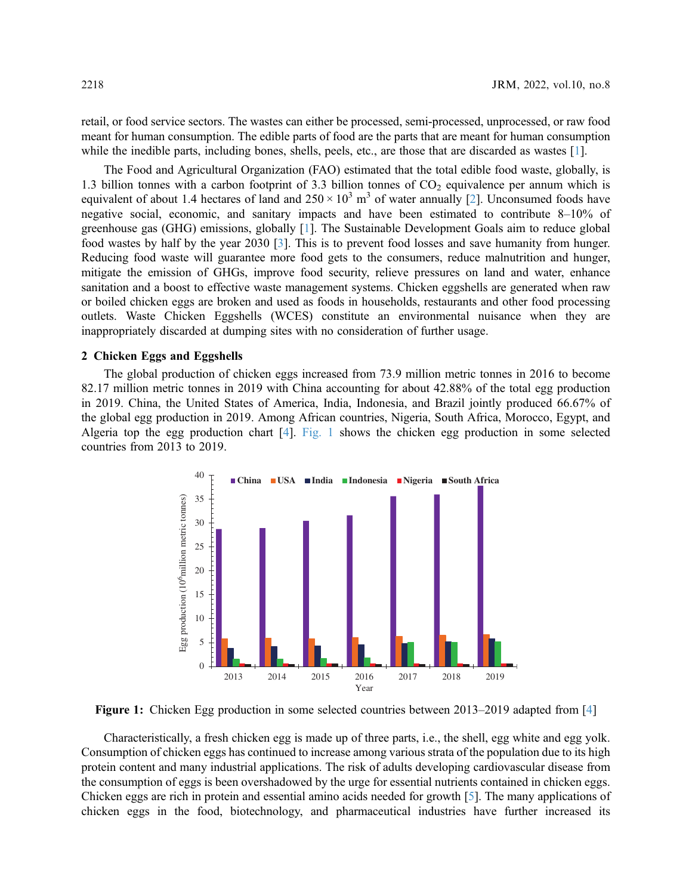retail, or food service sectors. The wastes can either be processed, semi-processed, unprocessed, or raw food meant for human consumption. The edible parts of food are the parts that are meant for human consumption while the inedible parts, including bones, shells, peels, etc., are those that are discarded as wastes [\[1\]](#page-21-0).

The Food and Agricultural Organization (FAO) estimated that the total edible food waste, globally, is 1.3 billion tonnes with a carbon footprint of 3.3 billion tonnes of  $CO<sub>2</sub>$  equivalence per annum which is equivalent of about 1.4 hectares of land and  $250 \times 10^3$  $250 \times 10^3$  m<sup>3</sup> of water annually [2]. Unconsumed foods have negative social, economic, and sanitary impacts and have been estimated to contribute 8–10% of greenhouse gas (GHG) emissions, globally [[1](#page-21-0)]. The Sustainable Development Goals aim to reduce global food wastes by half by the year 2030 [[3](#page-21-2)]. This is to prevent food losses and save humanity from hunger. Reducing food waste will guarantee more food gets to the consumers, reduce malnutrition and hunger, mitigate the emission of GHGs, improve food security, relieve pressures on land and water, enhance sanitation and a boost to effective waste management systems. Chicken eggshells are generated when raw or boiled chicken eggs are broken and used as foods in households, restaurants and other food processing outlets. Waste Chicken Eggshells (WCES) constitute an environmental nuisance when they are inappropriately discarded at dumping sites with no consideration of further usage.

# 2 Chicken Eggs and Eggshells

<span id="page-1-0"></span>The global production of chicken eggs increased from 73.9 million metric tonnes in 2016 to become 82.17 million metric tonnes in 2019 with China accounting for about 42.88% of the total egg production in 2019. China, the United States of America, India, Indonesia, and Brazil jointly produced 66.67% of the global egg production in 2019. Among African countries, Nigeria, South Africa, Morocco, Egypt, and Algeria top the egg production chart [[4](#page-21-3)]. [Fig. 1](#page-1-0) shows the chicken egg production in some selected countries from 2013 to 2019.



Figure 1: Chicken Egg production in some selected countries between 2013–2019 adapted from [[4](#page-21-3)]

Characteristically, a fresh chicken egg is made up of three parts, i.e., the shell, egg white and egg yolk. Consumption of chicken eggs has continued to increase among various strata of the population due to its high protein content and many industrial applications. The risk of adults developing cardiovascular disease from the consumption of eggs is been overshadowed by the urge for essential nutrients contained in chicken eggs. Chicken eggs are rich in protein and essential amino acids needed for growth [\[5\]](#page-21-4). The many applications of chicken eggs in the food, biotechnology, and pharmaceutical industries have further increased its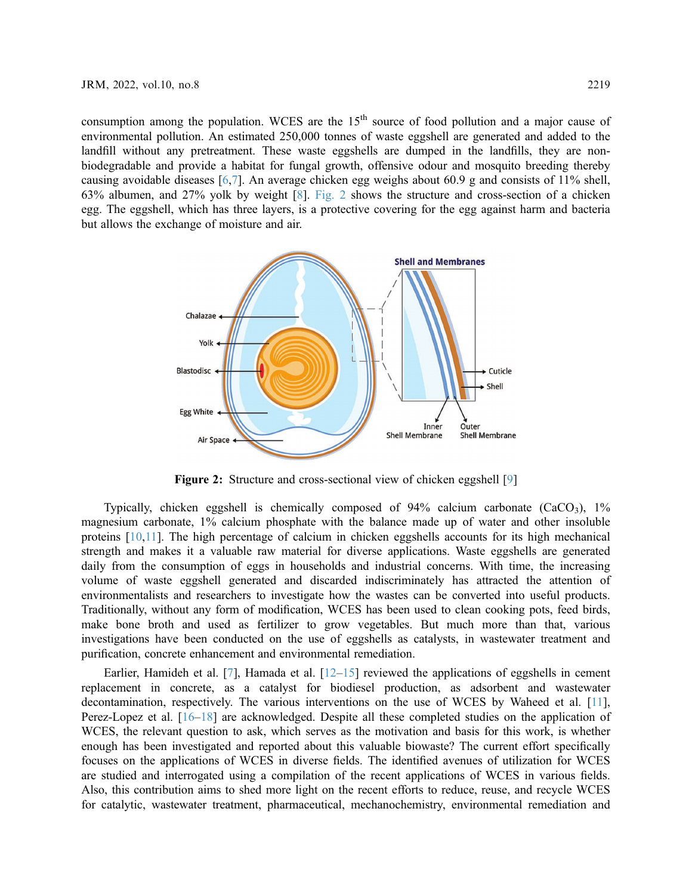consumption among the population. WCES are the  $15<sup>th</sup>$  source of food pollution and a major cause of environmental pollution. An estimated 250,000 tonnes of waste eggshell are generated and added to the landfill without any pretreatment. These waste eggshells are dumped in the landfills, they are nonbiodegradable and provide a habitat for fungal growth, offensive odour and mosquito breeding thereby causing avoidable diseases [[6](#page-22-0)[,7\]](#page-22-1). An average chicken egg weighs about 60.9 g and consists of 11% shell, 63% albumen, and 27% yolk by weight [[8](#page-22-2)]. [Fig. 2](#page-2-0) shows the structure and cross-section of a chicken egg. The eggshell, which has three layers, is a protective covering for the egg against harm and bacteria but allows the exchange of moisture and air.

<span id="page-2-0"></span>

Figure 2: Structure and cross-sectional view of chicken eggshell [[9](#page-22-9)]

Typically, chicken eggshell is chemically composed of  $94\%$  calcium carbonate (CaCO<sub>3</sub>),  $1\%$ magnesium carbonate, 1% calcium phosphate with the balance made up of water and other insoluble proteins [[10](#page-22-3)[,11](#page-22-4)]. The high percentage of calcium in chicken eggshells accounts for its high mechanical strength and makes it a valuable raw material for diverse applications. Waste eggshells are generated daily from the consumption of eggs in households and industrial concerns. With time, the increasing volume of waste eggshell generated and discarded indiscriminately has attracted the attention of environmentalists and researchers to investigate how the wastes can be converted into useful products. Traditionally, without any form of modification, WCES has been used to clean cooking pots, feed birds, make bone broth and used as fertilizer to grow vegetables. But much more than that, various investigations have been conducted on the use of eggshells as catalysts, in wastewater treatment and purification, concrete enhancement and environmental remediation.

Earlier, Hamideh et al.  $[7]$ , Hamada et al.  $[12-15]$  $[12-15]$  $[12-15]$  $[12-15]$  $[12-15]$  reviewed the applications of eggshells in cement replacement in concrete, as a catalyst for biodiesel production, as adsorbent and wastewater decontamination, respectively. The various interventions on the use of WCES by Waheed et al. [\[11\]](#page-22-4), Perez-Lopez et al. [\[16](#page-22-7)–[18\]](#page-22-8) are acknowledged. Despite all these completed studies on the application of WCES, the relevant question to ask, which serves as the motivation and basis for this work, is whether enough has been investigated and reported about this valuable biowaste? The current effort specifically focuses on the applications of WCES in diverse fields. The identified avenues of utilization for WCES are studied and interrogated using a compilation of the recent applications of WCES in various fields. Also, this contribution aims to shed more light on the recent efforts to reduce, reuse, and recycle WCES for catalytic, wastewater treatment, pharmaceutical, mechanochemistry, environmental remediation and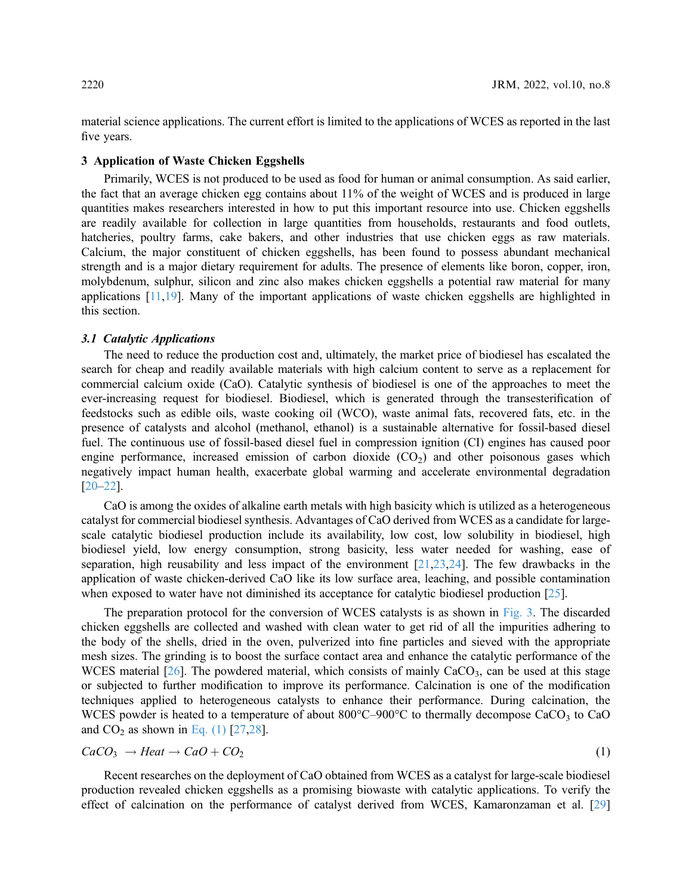material science applications. The current effort is limited to the applications of WCES as reported in the last five years.

### 3 Application of Waste Chicken Eggshells

Primarily, WCES is not produced to be used as food for human or animal consumption. As said earlier, the fact that an average chicken egg contains about 11% of the weight of WCES and is produced in large quantities makes researchers interested in how to put this important resource into use. Chicken eggshells are readily available for collection in large quantities from households, restaurants and food outlets, hatcheries, poultry farms, cake bakers, and other industries that use chicken eggs as raw materials. Calcium, the major constituent of chicken eggshells, has been found to possess abundant mechanical strength and is a major dietary requirement for adults. The presence of elements like boron, copper, iron, molybdenum, sulphur, silicon and zinc also makes chicken eggshells a potential raw material for many applications [[11](#page-22-4),[19\]](#page-22-10). Many of the important applications of waste chicken eggshells are highlighted in this section.

#### 3.1 Catalytic Applications

The need to reduce the production cost and, ultimately, the market price of biodiesel has escalated the search for cheap and readily available materials with high calcium content to serve as a replacement for commercial calcium oxide (CaO). Catalytic synthesis of biodiesel is one of the approaches to meet the ever-increasing request for biodiesel. Biodiesel, which is generated through the transesterification of feedstocks such as edible oils, waste cooking oil (WCO), waste animal fats, recovered fats, etc. in the presence of catalysts and alcohol (methanol, ethanol) is a sustainable alternative for fossil-based diesel fuel. The continuous use of fossil-based diesel fuel in compression ignition (CI) engines has caused poor engine performance, increased emission of carbon dioxide  $(CO<sub>2</sub>)$  and other poisonous gases which negatively impact human health, exacerbate global warming and accelerate environmental degradation [[20](#page-22-11)–[22\]](#page-22-12).

CaO is among the oxides of alkaline earth metals with high basicity which is utilized as a heterogeneous catalyst for commercial biodiesel synthesis. Advantages of CaO derived from WCES as a candidate for largescale catalytic biodiesel production include its availability, low cost, low solubility in biodiesel, high biodiesel yield, low energy consumption, strong basicity, less water needed for washing, ease of separation, high reusability and less impact of the environment [\[21,](#page-22-13)[23](#page-22-14)[,24](#page-22-15)]. The few drawbacks in the application of waste chicken-derived CaO like its low surface area, leaching, and possible contamination when exposed to water have not diminished its acceptance for catalytic biodiesel production [\[25](#page-22-16)].

The preparation protocol for the conversion of WCES catalysts is as shown in [Fig. 3.](#page-4-0) The discarded chicken eggshells are collected and washed with clean water to get rid of all the impurities adhering to the body of the shells, dried in the oven, pulverized into fine particles and sieved with the appropriate mesh sizes. The grinding is to boost the surface contact area and enhance the catalytic performance of the WCES material  $[26]$  $[26]$ . The powdered material, which consists of mainly  $CaCO<sub>3</sub>$ , can be used at this stage or subjected to further modification to improve its performance. Calcination is one of the modification techniques applied to heterogeneous catalysts to enhance their performance. During calcination, the WCES powder is heated to a temperature of about  $800^{\circ}$ C-900 $^{\circ}$ C to thermally decompose CaCO<sub>3</sub> to CaO and  $CO<sub>2</sub>$  as shown in [Eq. \(1\)](#page-3-0) [[27,](#page-23-1)[28](#page-23-2)].

<span id="page-3-0"></span>
$$
CaCO_3 \rightarrow Heat \rightarrow CaO + CO_2 \tag{1}
$$

Recent researches on the deployment of CaO obtained from WCES as a catalyst for large-scale biodiesel production revealed chicken eggshells as a promising biowaste with catalytic applications. To verify the effect of calcination on the performance of catalyst derived from WCES, Kamaronzaman et al. [[29\]](#page-23-3)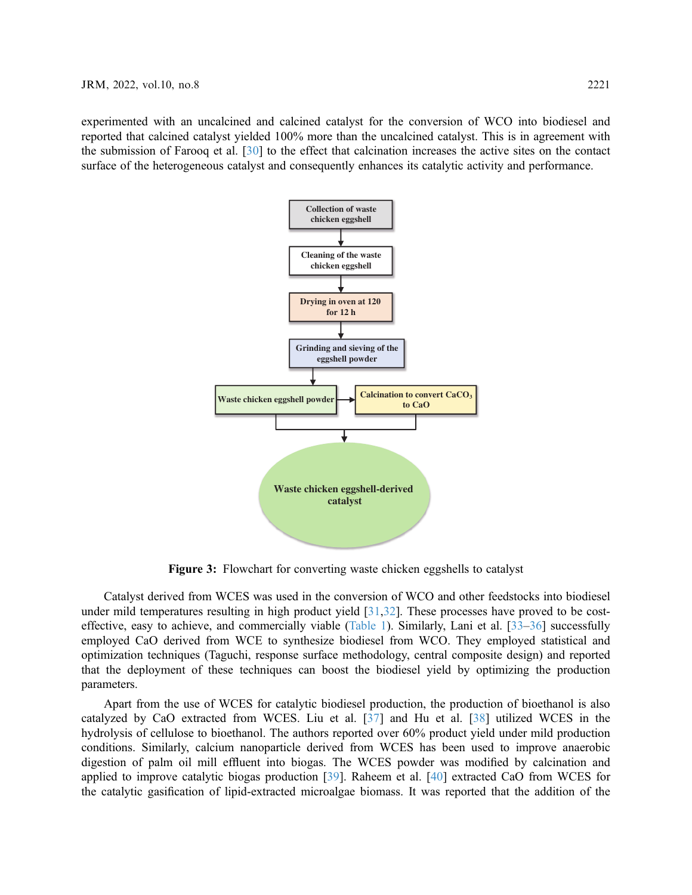<span id="page-4-0"></span>experimented with an uncalcined and calcined catalyst for the conversion of WCO into biodiesel and reported that calcined catalyst yielded 100% more than the uncalcined catalyst. This is in agreement with the submission of Farooq et al. [\[30](#page-23-4)] to the effect that calcination increases the active sites on the contact surface of the heterogeneous catalyst and consequently enhances its catalytic activity and performance.



Figure 3: Flowchart for converting waste chicken eggshells to catalyst

Catalyst derived from WCES was used in the conversion of WCO and other feedstocks into biodiesel under mild temperatures resulting in high product yield [[31](#page-23-5)[,32](#page-23-6)]. These processes have proved to be costeffective, easy to achieve, and commercially viable ([Table 1](#page-5-0)). Similarly, Lani et al. [\[33](#page-23-7)–[36\]](#page-23-8) successfully employed CaO derived from WCE to synthesize biodiesel from WCO. They employed statistical and optimization techniques (Taguchi, response surface methodology, central composite design) and reported that the deployment of these techniques can boost the biodiesel yield by optimizing the production parameters.

Apart from the use of WCES for catalytic biodiesel production, the production of bioethanol is also catalyzed by CaO extracted from WCES. Liu et al. [\[37\]](#page-23-9) and Hu et al. [[38\]](#page-23-10) utilized WCES in the hydrolysis of cellulose to bioethanol. The authors reported over 60% product yield under mild production conditions. Similarly, calcium nanoparticle derived from WCES has been used to improve anaerobic digestion of palm oil mill effluent into biogas. The WCES powder was modified by calcination and applied to improve catalytic biogas production [[39](#page-23-11)]. Raheem et al. [\[40](#page-23-12)] extracted CaO from WCES for the catalytic gasification of lipid-extracted microalgae biomass. It was reported that the addition of the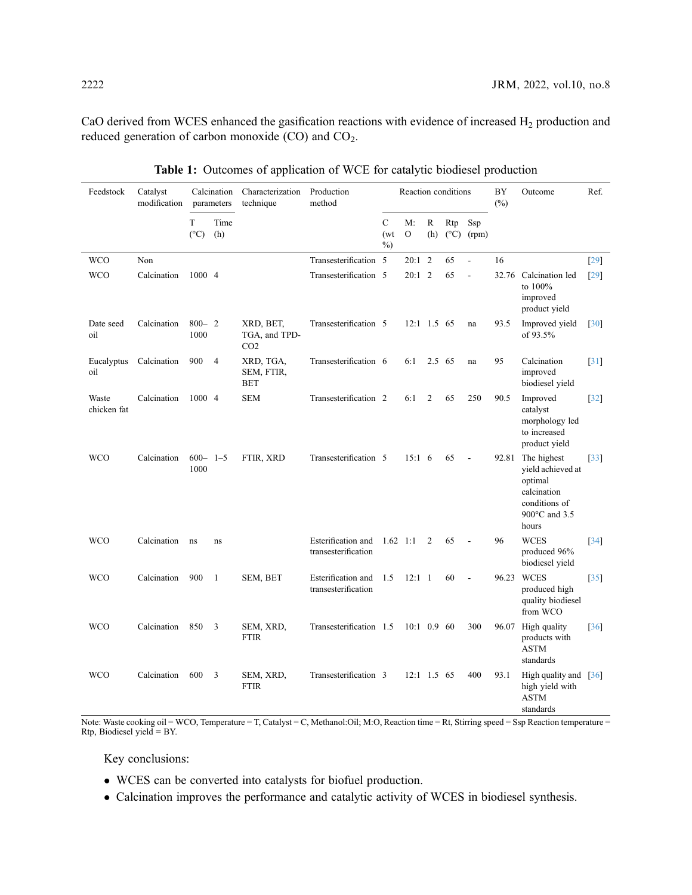CaO derived from WCES enhanced the gasification reactions with evidence of increased H<sub>2</sub> production and reduced generation of carbon monoxide (CO) and CO<sub>2</sub>.

<span id="page-5-0"></span>

| Feedstock            | Catalyst<br>modification |                       | Calcination<br>parameters | Characterization<br>technique                 | Production<br>method                      |                               | Reaction conditions |                | BY<br>$(\%)$ | Outcome                    | Ref.  |                                                                                                       |                    |
|----------------------|--------------------------|-----------------------|---------------------------|-----------------------------------------------|-------------------------------------------|-------------------------------|---------------------|----------------|--------------|----------------------------|-------|-------------------------------------------------------------------------------------------------------|--------------------|
|                      |                          | T<br>$(^{\circ}C)$    | Time<br>(h)               |                                               |                                           | $\mathcal{C}$<br>(wt)<br>$\%$ | M:<br>$\mathbf{O}$  | R<br>(h)       | Rtp          | Ssp<br>$(^{\circ}C)$ (rpm) |       |                                                                                                       |                    |
| <b>WCO</b>           | Non                      |                       |                           |                                               | Transesterification 5                     |                               | $20:1$ 2            |                | 65           | $\frac{1}{2}$              | 16    |                                                                                                       | [29]               |
| <b>WCO</b>           | Calcination              | 1000 4                |                           |                                               | Transesterification 5                     |                               | $20:1$ 2            |                | 65           | $\overline{a}$             |       | 32.76 Calcination led<br>to 100%<br>improved<br>product yield                                         | [29]               |
| Date seed<br>oil     | Calcination              | $800 - 2$<br>1000     |                           | XRD, BET,<br>TGA, and TPD-<br>CO <sub>2</sub> | Transesterification 5                     |                               | $12:1$ 1.5 65       |                |              | na                         | 93.5  | Improved yield<br>of 93.5%                                                                            | [30]               |
| Eucalyptus<br>oil    | Calcination              | 900                   | $\overline{4}$            | XRD, TGA,<br>SEM, FTIR,<br><b>BET</b>         | Transesterification 6                     |                               | 6:1                 | 2.5 65         |              | na                         | 95    | Calcination<br>improved<br>biodiesel yield                                                            | [31]               |
| Waste<br>chicken fat | Calcination              | 1000 4                |                           | <b>SEM</b>                                    | Transesterification 2                     |                               | 6:1                 | $\overline{2}$ | 65           | 250                        | 90.5  | Improved<br>catalyst<br>morphology led<br>to increased<br>product yield                               | $[32]$             |
| <b>WCO</b>           | Calcination              | $600 - 1 - 5$<br>1000 |                           | FTIR, XRD                                     | Transesterification 5                     |                               | 15:16               |                | 65           | $\overline{a}$             | 92.81 | The highest<br>yield achieved at<br>optimal<br>calcination<br>conditions of<br>900°C and 3.5<br>hours | $\lceil 33 \rceil$ |
| <b>WCO</b>           | Calcination              | ns                    | ns                        |                                               | Esterification and<br>transesterification | $1.62 \quad 1:1$              |                     | $\overline{2}$ | 65           | $\overline{\phantom{a}}$   | 96    | <b>WCES</b><br>produced 96%<br>biodiesel yield                                                        | $[34]$             |
| <b>WCO</b>           | Calcination              | 900                   | 1                         | SEM, BET                                      | Esterification and<br>transesterification | 1.5                           | $12:1 \quad 1$      |                | 60           |                            | 96.23 | <b>WCES</b><br>produced high<br>quality biodiesel<br>from WCO                                         | $\lceil 35 \rceil$ |
| <b>WCO</b>           | Calcination              | 850                   | 3                         | SEM, XRD,<br><b>FTIR</b>                      | Transesterification 1.5                   |                               | $10:1$ 0.9 60       |                |              | 300                        |       | 96.07 High quality<br>products with<br><b>ASTM</b><br>standards                                       | $\lceil 36 \rceil$ |
| <b>WCO</b>           | Calcination              | 600                   | 3                         | SEM, XRD,<br><b>FTIR</b>                      | Transesterification 3                     |                               | $12:1$ 1.5 65       |                |              | 400                        | 93.1  | High quality and [36]<br>high yield with<br><b>ASTM</b><br>standards                                  |                    |

Table 1: Outcomes of application of WCE for catalytic biodiesel production

Note: Waste cooking oil = WCO, Temperature = T, Catalyst = C, Methanol:Oil; M:O, Reaction time = Rt, Stirring speed = Ssp Reaction temperature = Rtp, Biodiesel yield = BY.

Key conclusions:

- WCES can be converted into catalysts for biofuel production.
- Calcination improves the performance and catalytic activity of WCES in biodiesel synthesis.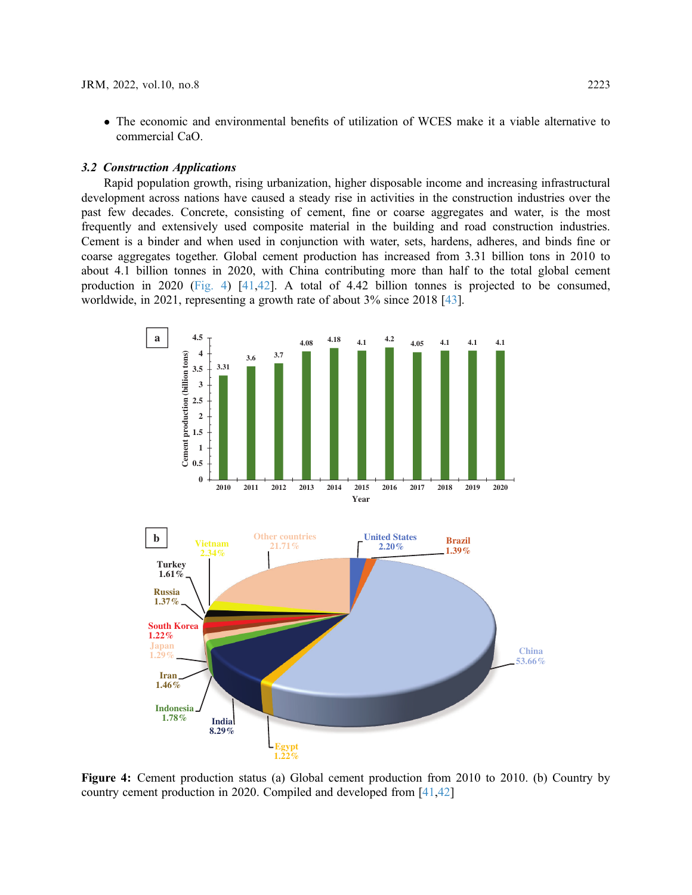- The economic and environmental benefits of utilization of WCES make it a viable alternative to commercial CaO.

#### 3.2 Construction Applications

Rapid population growth, rising urbanization, higher disposable income and increasing infrastructural development across nations have caused a steady rise in activities in the construction industries over the past few decades. Concrete, consisting of cement, fine or coarse aggregates and water, is the most frequently and extensively used composite material in the building and road construction industries. Cement is a binder and when used in conjunction with water, sets, hardens, adheres, and binds fine or coarse aggregates together. Global cement production has increased from 3.31 billion tons in 2010 to about 4.1 billion tonnes in 2020, with China contributing more than half to the total global cement production in 2020 [\(Fig. 4](#page-6-0)) [\[41](#page-23-15)[,42](#page-23-16)]. A total of 4.42 billion tonnes is projected to be consumed, worldwide, in 2021, representing a growth rate of about 3% since 2018 [\[43](#page-23-17)].

<span id="page-6-0"></span>

Figure 4: Cement production status (a) Global cement production from 2010 to 2010. (b) Country by country cement production in 2020. Compiled and developed from [[41,](#page-23-15)[42\]](#page-23-16)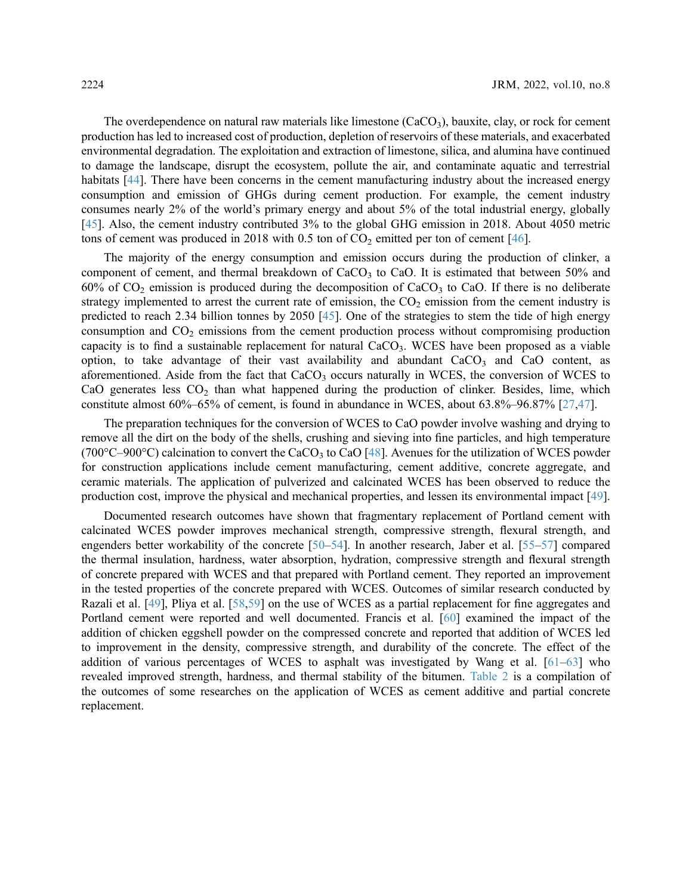The overdependence on natural raw materials like limestone  $(CaCO<sub>3</sub>)$ , bauxite, clay, or rock for cement production has led to increased cost of production, depletion of reservoirs of these materials, and exacerbated environmental degradation. The exploitation and extraction of limestone, silica, and alumina have continued to damage the landscape, disrupt the ecosystem, pollute the air, and contaminate aquatic and terrestrial habitats [[44\]](#page-24-0). There have been concerns in the cement manufacturing industry about the increased energy consumption and emission of GHGs during cement production. For example, the cement industry consumes nearly 2% of the world's primary energy and about 5% of the total industrial energy, globally [[45](#page-24-1)]. Also, the cement industry contributed 3% to the global GHG emission in 2018. About 4050 metric tons of cement was produced in 2018 with 0.5 ton of  $CO<sub>2</sub>$  emitted per ton of cement [[46\]](#page-24-2).

The majority of the energy consumption and emission occurs during the production of clinker, a component of cement, and thermal breakdown of  $CaCO<sub>3</sub>$  to  $CaO$ . It is estimated that between 50% and 60% of  $CO_2$  emission is produced during the decomposition of  $CaCO_3$  to CaO. If there is no deliberate strategy implemented to arrest the current rate of emission, the  $CO<sub>2</sub>$  emission from the cement industry is predicted to reach 2.34 billion tonnes by 2050 [[45](#page-24-1)]. One of the strategies to stem the tide of high energy consumption and  $CO<sub>2</sub>$  emissions from the cement production process without compromising production capacity is to find a sustainable replacement for natural  $CaCO<sub>3</sub>$ . WCES have been proposed as a viable option, to take advantage of their vast availability and abundant  $CaCO<sub>3</sub>$  and  $CaO$  content, as aforementioned. Aside from the fact that  $CaCO<sub>3</sub>$  occurs naturally in WCES, the conversion of WCES to CaO generates less  $CO<sub>2</sub>$  than what happened during the production of clinker. Besides, lime, which constitute almost 60%–65% of cement, is found in abundance in WCES, about 63.8%–96.87% [[27,](#page-23-1)[47\]](#page-24-3).

The preparation techniques for the conversion of WCES to CaO powder involve washing and drying to remove all the dirt on the body of the shells, crushing and sieving into fine particles, and high temperature (700 $\degree$ C–900 $\degree$ C) calcination to convert the CaCO<sub>3</sub> to CaO [\[48](#page-24-4)]. Avenues for the utilization of WCES powder for construction applications include cement manufacturing, cement additive, concrete aggregate, and ceramic materials. The application of pulverized and calcinated WCES has been observed to reduce the production cost, improve the physical and mechanical properties, and lessen its environmental impact [[49\]](#page-24-5).

Documented research outcomes have shown that fragmentary replacement of Portland cement with calcinated WCES powder improves mechanical strength, compressive strength, flexural strength, and engenders better workability of the concrete [\[50](#page-24-6)–[54\]](#page-24-7). In another research, Jaber et al. [[55](#page-24-8)–[57\]](#page-24-9) compared the thermal insulation, hardness, water absorption, hydration, compressive strength and flexural strength of concrete prepared with WCES and that prepared with Portland cement. They reported an improvement in the tested properties of the concrete prepared with WCES. Outcomes of similar research conducted by Razali et al. [\[49](#page-24-5)], Pliya et al. [[58,](#page-24-10)[59\]](#page-24-11) on the use of WCES as a partial replacement for fine aggregates and Portland cement were reported and well documented. Francis et al. [[60\]](#page-24-12) examined the impact of the addition of chicken eggshell powder on the compressed concrete and reported that addition of WCES led to improvement in the density, compressive strength, and durability of the concrete. The effect of the addition of various percentages of WCES to asphalt was investigated by Wang et al. [[61](#page-24-13)–[63](#page-24-14)] who revealed improved strength, hardness, and thermal stability of the bitumen. [Table 2](#page-8-0) is a compilation of the outcomes of some researches on the application of WCES as cement additive and partial concrete replacement.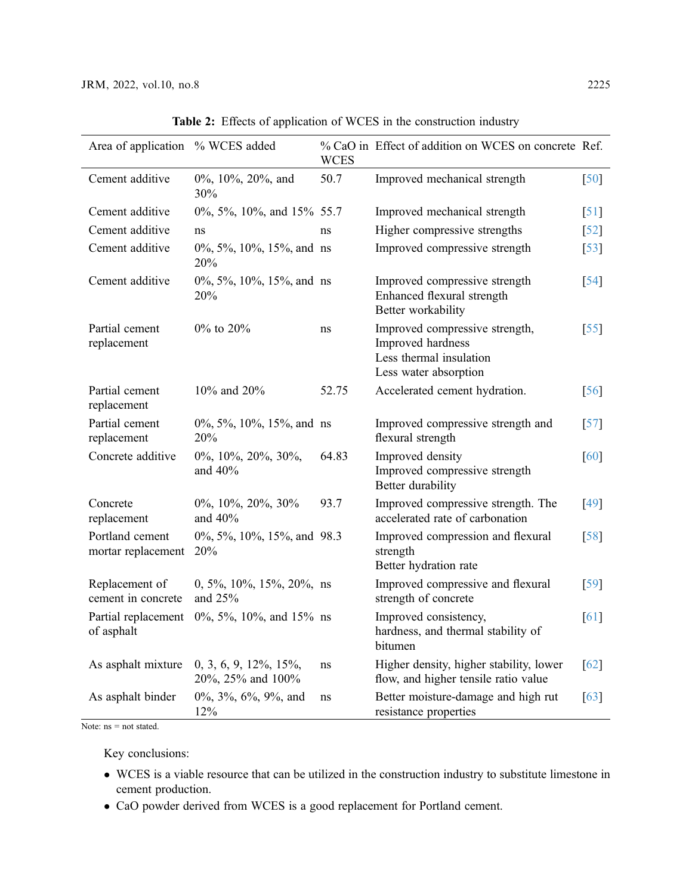<span id="page-8-0"></span>

| Area of application % WCES added      |                                                    | <b>WCES</b> | % CaO in Effect of addition on WCES on concrete Ref.                                                    |                    |
|---------------------------------------|----------------------------------------------------|-------------|---------------------------------------------------------------------------------------------------------|--------------------|
| Cement additive                       | 0%, 10%, 20%, and<br>30%                           | 50.7        | Improved mechanical strength                                                                            | [50]               |
| Cement additive                       | $0\%, 5\%, 10\%, \text{ and } 15\%$ 55.7           |             | Improved mechanical strength                                                                            | $\lceil 51 \rceil$ |
| Cement additive                       | ns                                                 | ns          | Higher compressive strengths                                                                            | $\lceil 52 \rceil$ |
| Cement additive                       | $0\%, 5\%, 10\%, 15\%, \text{and}$ ns<br>20%       |             | Improved compressive strength                                                                           | $\lceil 53 \rceil$ |
| Cement additive                       | $0\%, 5\%, 10\%, 15\%, \text{and}$ ns<br>20%       |             | Improved compressive strength<br>Enhanced flexural strength<br>Better workability                       | $\lceil 54 \rceil$ |
| Partial cement<br>replacement         | $0\%$ to $20\%$                                    | ns          | Improved compressive strength,<br>Improved hardness<br>Less thermal insulation<br>Less water absorption | $\left[55\right]$  |
| Partial cement<br>replacement         | 10% and 20%                                        | 52.75       | Accelerated cement hydration.                                                                           | $\lceil 56 \rceil$ |
| Partial cement<br>replacement         | $0\%, 5\%, 10\%, 15\%, \text{and}$ ns<br>20%       |             | Improved compressive strength and<br>flexural strength                                                  | $\lceil 57 \rceil$ |
| Concrete additive                     | 0%, 10%, 20%, 30%,<br>and $40%$                    | 64.83       | Improved density<br>Improved compressive strength<br>Better durability                                  | [60]               |
| Concrete<br>replacement               | $0\%, 10\%, 20\%, 30\%$<br>and $40%$               | 93.7        | Improved compressive strength. The<br>accelerated rate of carbonation                                   | [49]               |
| Portland cement<br>mortar replacement | 0%, 5%, 10%, 15%, and 98.3<br><b>20%</b>           |             | Improved compression and flexural<br>strength<br>Better hydration rate                                  | [58]               |
| Replacement of<br>cement in concrete  | $0, 5\%, 10\%, 15\%, 20\%, \text{ns}$<br>and $25%$ |             | Improved compressive and flexural<br>strength of concrete                                               | $\lceil 59 \rceil$ |
| Partial replacement<br>of asphalt     | $0\%, 5\%, 10\%, \text{ and } 15\% \text{ ns}$     |             | Improved consistency,<br>hardness, and thermal stability of<br>bitumen                                  | [61]               |
| As asphalt mixture                    | $0, 3, 6, 9, 12\%, 15\%,$<br>20%, 25% and 100%     | ns          | Higher density, higher stability, lower<br>flow, and higher tensile ratio value                         | [62]               |
| As asphalt binder                     | $0\%, 3\%, 6\%, 9\%,$ and<br>12%                   | ns          | Better moisture-damage and high rut<br>resistance properties                                            | $\lceil 63 \rceil$ |

Table 2: Effects of application of WCES in the construction industry

Note:  $ns = not stated$ .

Key conclusions:

- WCES is a viable resource that can be utilized in the construction industry to substitute limestone in cement production.
- CaO powder derived from WCES is a good replacement for Portland cement.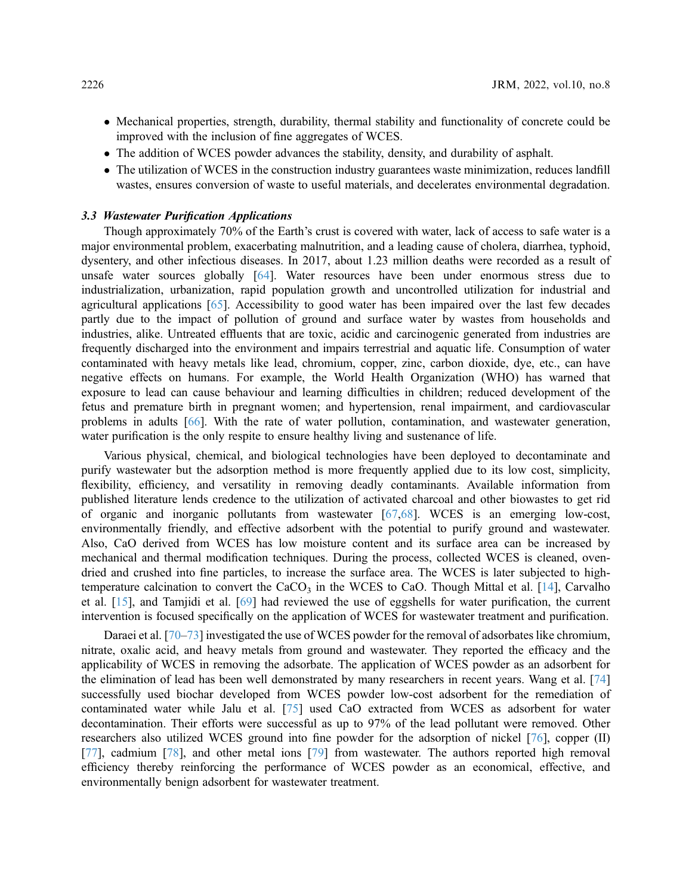- Mechanical properties, strength, durability, thermal stability and functionality of concrete could be improved with the inclusion of fine aggregates of WCES.
- The addition of WCES powder advances the stability, density, and durability of asphalt.
- The utilization of WCES in the construction industry guarantees waste minimization, reduces landfill wastes, ensures conversion of waste to useful materials, and decelerates environmental degradation.

# 3.3 Wastewater Purification Applications

Though approximately 70% of the Earth's crust is covered with water, lack of access to safe water is a major environmental problem, exacerbating malnutrition, and a leading cause of cholera, diarrhea, typhoid, dysentery, and other infectious diseases. In 2017, about 1.23 million deaths were recorded as a result of unsafe water sources globally [[64\]](#page-24-20). Water resources have been under enormous stress due to industrialization, urbanization, rapid population growth and uncontrolled utilization for industrial and agricultural applications [[65\]](#page-25-0). Accessibility to good water has been impaired over the last few decades partly due to the impact of pollution of ground and surface water by wastes from households and industries, alike. Untreated effluents that are toxic, acidic and carcinogenic generated from industries are frequently discharged into the environment and impairs terrestrial and aquatic life. Consumption of water contaminated with heavy metals like lead, chromium, copper, zinc, carbon dioxide, dye, etc., can have negative effects on humans. For example, the World Health Organization (WHO) has warned that exposure to lead can cause behaviour and learning difficulties in children; reduced development of the fetus and premature birth in pregnant women; and hypertension, renal impairment, and cardiovascular problems in adults [\[66](#page-25-1)]. With the rate of water pollution, contamination, and wastewater generation, water purification is the only respite to ensure healthy living and sustenance of life.

Various physical, chemical, and biological technologies have been deployed to decontaminate and purify wastewater but the adsorption method is more frequently applied due to its low cost, simplicity, flexibility, efficiency, and versatility in removing deadly contaminants. Available information from published literature lends credence to the utilization of activated charcoal and other biowastes to get rid of organic and inorganic pollutants from wastewater [\[67](#page-25-2),[68\]](#page-25-3). WCES is an emerging low-cost, environmentally friendly, and effective adsorbent with the potential to purify ground and wastewater. Also, CaO derived from WCES has low moisture content and its surface area can be increased by mechanical and thermal modification techniques. During the process, collected WCES is cleaned, ovendried and crushed into fine particles, to increase the surface area. The WCES is later subjected to hightemperature calcination to convert the  $CaCO<sub>3</sub>$  in the WCES to CaO. Though Mittal et al. [\[14](#page-22-17)], Carvalho et al. [\[15](#page-22-6)], and Tamjidi et al. [\[69](#page-25-4)] had reviewed the use of eggshells for water purification, the current intervention is focused specifically on the application of WCES for wastewater treatment and purification.

Daraei et al. [\[70](#page-25-5)–[73](#page-25-6)] investigated the use of WCES powder for the removal of adsorbates like chromium, nitrate, oxalic acid, and heavy metals from ground and wastewater. They reported the efficacy and the applicability of WCES in removing the adsorbate. The application of WCES powder as an adsorbent for the elimination of lead has been well demonstrated by many researchers in recent years. Wang et al. [[74\]](#page-25-7) successfully used biochar developed from WCES powder low-cost adsorbent for the remediation of contaminated water while Jalu et al. [\[75](#page-25-8)] used CaO extracted from WCES as adsorbent for water decontamination. Their efforts were successful as up to 97% of the lead pollutant were removed. Other researchers also utilized WCES ground into fine powder for the adsorption of nickel [[76\]](#page-25-9), copper (II) [[77](#page-25-10)], cadmium [[78\]](#page-25-11), and other metal ions [[79\]](#page-25-12) from wastewater. The authors reported high removal efficiency thereby reinforcing the performance of WCES powder as an economical, effective, and environmentally benign adsorbent for wastewater treatment.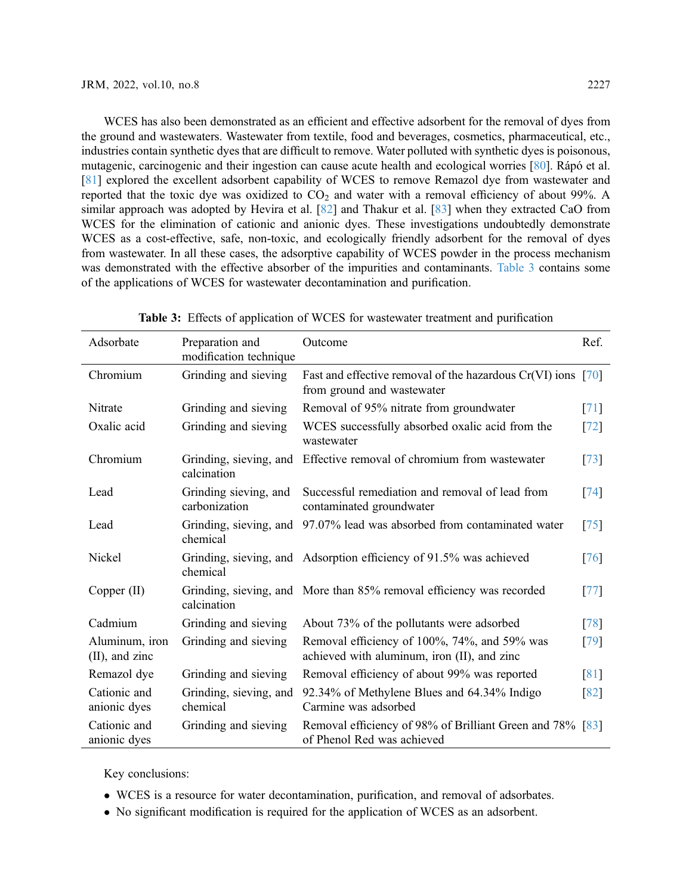WCES has also been demonstrated as an efficient and effective adsorbent for the removal of dyes from the ground and wastewaters. Wastewater from textile, food and beverages, cosmetics, pharmaceutical, etc., industries contain synthetic dyes that are difficult to remove. Water polluted with synthetic dyes is poisonous, mutagenic, carcinogenic and their ingestion can cause acute health and ecological worries [\[80](#page-25-13)]. Rápó et al. [[81](#page-25-14)] explored the excellent adsorbent capability of WCES to remove Remazol dye from wastewater and reported that the toxic dye was oxidized to  $CO<sub>2</sub>$  and water with a removal efficiency of about 99%. A similar approach was adopted by Hevira et al. [[82\]](#page-26-0) and Thakur et al. [[83\]](#page-26-1) when they extracted CaO from WCES for the elimination of cationic and anionic dyes. These investigations undoubtedly demonstrate WCES as a cost-effective, safe, non-toxic, and ecologically friendly adsorbent for the removal of dyes from wastewater. In all these cases, the adsorptive capability of WCES powder in the process mechanism was demonstrated with the effective absorber of the impurities and contaminants. [Table 3](#page-10-0) contains some of the applications of WCES for wastewater decontamination and purification.

<span id="page-10-0"></span>

| Adsorbate                           | Preparation and<br>modification technique | Outcome                                                                                      | Ref. |
|-------------------------------------|-------------------------------------------|----------------------------------------------------------------------------------------------|------|
| Chromium                            | Grinding and sieving                      | Fast and effective removal of the hazardous $Cr(VI)$ ions [70]<br>from ground and wastewater |      |
| Nitrate                             | Grinding and sieving                      | Removal of 95% nitrate from groundwater                                                      | [71] |
| Oxalic acid                         | Grinding and sieving                      | WCES successfully absorbed oxalic acid from the<br>wastewater                                | [72] |
| Chromium                            | Grinding, sieving, and<br>calcination     | Effective removal of chromium from wastewater                                                | [73] |
| Lead                                | Grinding sieving, and<br>carbonization    | Successful remediation and removal of lead from<br>contaminated groundwater                  | [74] |
| Lead                                | Grinding, sieving, and<br>chemical        | 97.07% lead was absorbed from contaminated water                                             | [75] |
| Nickel                              | chemical                                  | Grinding, sieving, and Adsorption efficiency of 91.5% was achieved                           | [76] |
| Copper $(II)$                       | calcination                               | Grinding, sieving, and More than 85% removal efficiency was recorded                         | [77] |
| Cadmium                             | Grinding and sieving                      | About 73% of the pollutants were adsorbed                                                    | [78] |
| Aluminum, iron<br>$(II)$ , and zinc | Grinding and sieving                      | Removal efficiency of 100%, 74%, and 59% was<br>achieved with aluminum, iron (II), and zinc  | [79] |
| Remazol dye                         | Grinding and sieving                      | Removal efficiency of about 99% was reported                                                 | [81] |
| Cationic and<br>anionic dyes        | Grinding, sieving, and<br>chemical        | 92.34% of Methylene Blues and 64.34% Indigo<br>Carmine was adsorbed                          | [82] |
| Cationic and<br>anionic dyes        | Grinding and sieving                      | Removal efficiency of 98% of Brilliant Green and 78% [83]<br>of Phenol Red was achieved      |      |

Table 3: Effects of application of WCES for wastewater treatment and purification

Key conclusions:

- WCES is a resource for water decontamination, purification, and removal of adsorbates.
- No significant modification is required for the application of WCES as an adsorbent.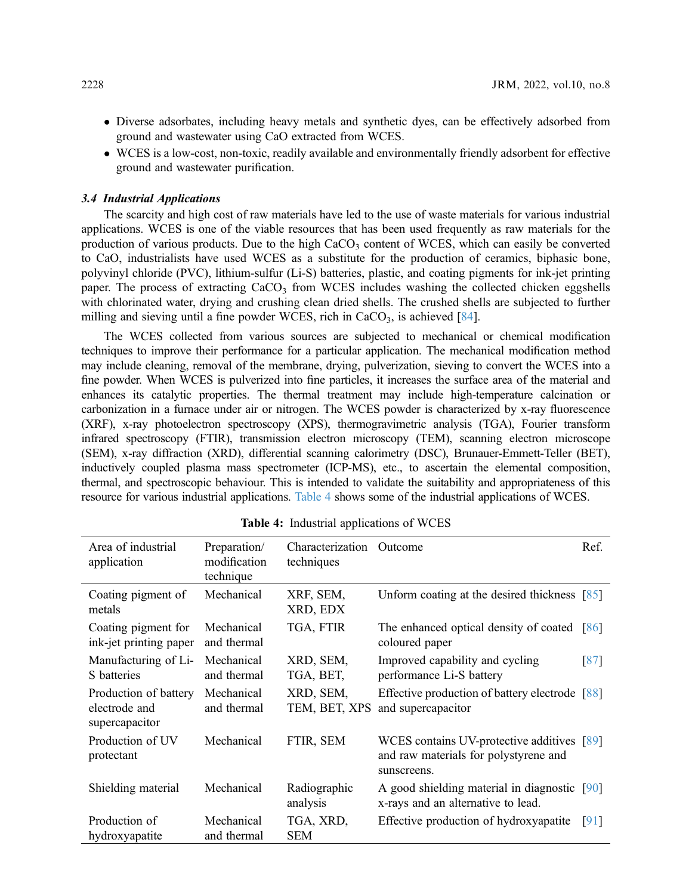- Diverse adsorbates, including heavy metals and synthetic dyes, can be effectively adsorbed from ground and wastewater using CaO extracted from WCES.
- WCES is a low-cost, non-toxic, readily available and environmentally friendly adsorbent for effective ground and wastewater purification.

### 3.4 Industrial Applications

The scarcity and high cost of raw materials have led to the use of waste materials for various industrial applications. WCES is one of the viable resources that has been used frequently as raw materials for the production of various products. Due to the high  $CaCO<sub>3</sub>$  content of WCES, which can easily be converted to CaO, industrialists have used WCES as a substitute for the production of ceramics, biphasic bone, polyvinyl chloride (PVC), lithium-sulfur (Li-S) batteries, plastic, and coating pigments for ink-jet printing paper. The process of extracting  $CaCO<sub>3</sub>$  from WCES includes washing the collected chicken eggshells with chlorinated water, drying and crushing clean dried shells. The crushed shells are subjected to further milling and sieving until a fine powder WCES, rich in  $CaCO<sub>3</sub>$ , is achieved [\[84](#page-26-2)].

The WCES collected from various sources are subjected to mechanical or chemical modification techniques to improve their performance for a particular application. The mechanical modification method may include cleaning, removal of the membrane, drying, pulverization, sieving to convert the WCES into a fine powder. When WCES is pulverized into fine particles, it increases the surface area of the material and enhances its catalytic properties. The thermal treatment may include high-temperature calcination or carbonization in a furnace under air or nitrogen. The WCES powder is characterized by x-ray fluorescence (XRF), x-ray photoelectron spectroscopy (XPS), thermogravimetric analysis (TGA), Fourier transform infrared spectroscopy (FTIR), transmission electron microscopy (TEM), scanning electron microscope (SEM), x-ray diffraction (XRD), differential scanning calorimetry (DSC), Brunauer-Emmett-Teller (BET), inductively coupled plasma mass spectrometer (ICP-MS), etc., to ascertain the elemental composition, thermal, and spectroscopic behaviour. This is intended to validate the suitability and appropriateness of this resource for various industrial applications. [Table 4](#page-11-0) shows some of the industrial applications of WCES.

<span id="page-11-0"></span>

| Area of industrial<br>application                        | Preparation/<br>modification<br>technique | Characterization<br>techniques | Outcome                                                                                            | Ref.               |
|----------------------------------------------------------|-------------------------------------------|--------------------------------|----------------------------------------------------------------------------------------------------|--------------------|
| Coating pigment of<br>metals                             | Mechanical                                | XRF, SEM,<br>XRD, EDX          | Unform coating at the desired thickness $[85]$                                                     |                    |
| Coating pigment for<br>ink-jet printing paper            | Mechanical<br>and thermal                 | TGA, FTIR                      | The enhanced optical density of coated $[86]$<br>coloured paper                                    |                    |
| Manufacturing of Li-<br>S batteries                      | Mechanical<br>and thermal                 | XRD, SEM,<br>TGA, BET,         | Improved capability and cycling<br>performance Li-S battery                                        | $\lceil 87 \rceil$ |
| Production of battery<br>electrode and<br>supercapacitor | Mechanical<br>and thermal                 | XRD, SEM,<br>TEM, BET, XPS     | Effective production of battery electrode [88]<br>and supercapacitor                               |                    |
| Production of UV<br>protectant                           | Mechanical                                | FTIR, SEM                      | WCES contains UV-protective additives [89]<br>and raw materials for polystyrene and<br>sunscreens. |                    |
| Shielding material                                       | Mechanical                                | Radiographic<br>analysis       | A good shielding material in diagnostic [90]<br>x-rays and an alternative to lead.                 |                    |
| Production of<br>hydroxyapatite                          | Mechanical<br>and thermal                 | TGA, XRD,<br><b>SEM</b>        | Effective production of hydroxyapatite                                                             | [91]               |

Table 4: Industrial applications of WCES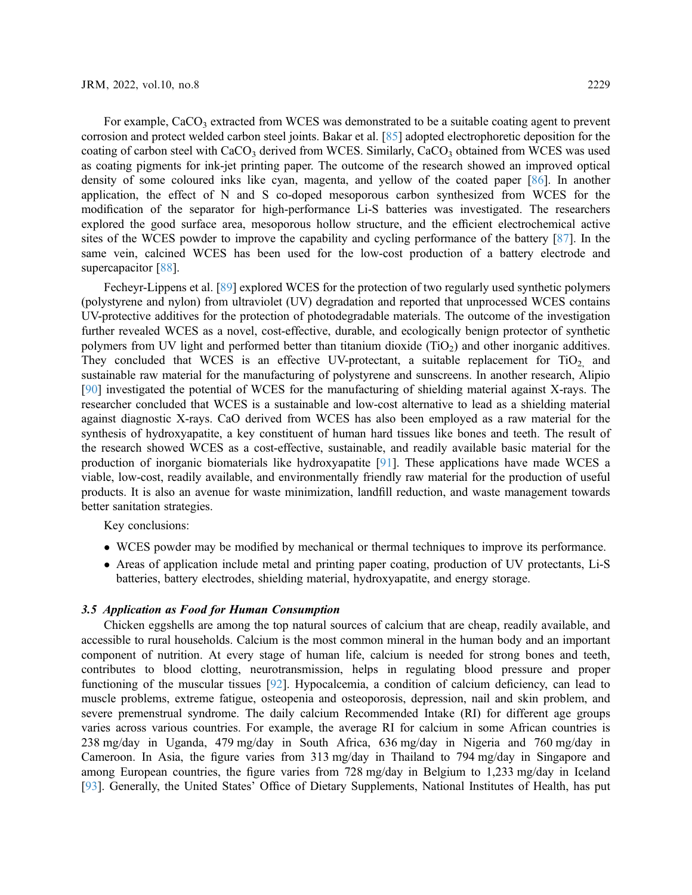For example,  $CaCO<sub>3</sub>$  extracted from WCES was demonstrated to be a suitable coating agent to prevent corrosion and protect welded carbon steel joints. Bakar et al. [[85](#page-26-3)] adopted electrophoretic deposition for the coating of carbon steel with CaCO<sub>3</sub> derived from WCES. Similarly, CaCO<sub>3</sub> obtained from WCES was used as coating pigments for ink-jet printing paper. The outcome of the research showed an improved optical density of some coloured inks like cyan, magenta, and yellow of the coated paper [\[86](#page-26-4)]. In another application, the effect of N and S co-doped mesoporous carbon synthesized from WCES for the modification of the separator for high-performance Li-S batteries was investigated. The researchers explored the good surface area, mesoporous hollow structure, and the efficient electrochemical active sites of the WCES powder to improve the capability and cycling performance of the battery [[87\]](#page-26-5). In the same vein, calcined WCES has been used for the low-cost production of a battery electrode and supercapacitor [[88\]](#page-26-6).

Fecheyr-Lippens et al. [[89\]](#page-26-7) explored WCES for the protection of two regularly used synthetic polymers (polystyrene and nylon) from ultraviolet (UV) degradation and reported that unprocessed WCES contains UV-protective additives for the protection of photodegradable materials. The outcome of the investigation further revealed WCES as a novel, cost-effective, durable, and ecologically benign protector of synthetic polymers from UV light and performed better than titanium dioxide  $(TiO<sub>2</sub>)$  and other inorganic additives. They concluded that WCES is an effective UV-protectant, a suitable replacement for  $TiO<sub>2</sub>$  and sustainable raw material for the manufacturing of polystyrene and sunscreens. In another research, Alipio [[90](#page-26-8)] investigated the potential of WCES for the manufacturing of shielding material against X-rays. The researcher concluded that WCES is a sustainable and low-cost alternative to lead as a shielding material against diagnostic X-rays. CaO derived from WCES has also been employed as a raw material for the synthesis of hydroxyapatite, a key constituent of human hard tissues like bones and teeth. The result of the research showed WCES as a cost-effective, sustainable, and readily available basic material for the production of inorganic biomaterials like hydroxyapatite [\[91](#page-26-9)]. These applications have made WCES a viable, low-cost, readily available, and environmentally friendly raw material for the production of useful products. It is also an avenue for waste minimization, landfill reduction, and waste management towards better sanitation strategies.

Key conclusions:

- WCES powder may be modified by mechanical or thermal techniques to improve its performance.
- Areas of application include metal and printing paper coating, production of UV protectants, Li-S batteries, battery electrodes, shielding material, hydroxyapatite, and energy storage.

# 3.5 Application as Food for Human Consumption

Chicken eggshells are among the top natural sources of calcium that are cheap, readily available, and accessible to rural households. Calcium is the most common mineral in the human body and an important component of nutrition. At every stage of human life, calcium is needed for strong bones and teeth, contributes to blood clotting, neurotransmission, helps in regulating blood pressure and proper functioning of the muscular tissues [\[92](#page-26-10)]. Hypocalcemia, a condition of calcium deficiency, can lead to muscle problems, extreme fatigue, osteopenia and osteoporosis, depression, nail and skin problem, and severe premenstrual syndrome. The daily calcium Recommended Intake (RI) for different age groups varies across various countries. For example, the average RI for calcium in some African countries is 238 mg/day in Uganda, 479 mg/day in South Africa, 636 mg/day in Nigeria and 760 mg/day in Cameroon. In Asia, the figure varies from 313 mg/day in Thailand to 794 mg/day in Singapore and among European countries, the figure varies from 728 mg/day in Belgium to 1,233 mg/day in Iceland [[93](#page-26-11)]. Generally, the United States' Office of Dietary Supplements, National Institutes of Health, has put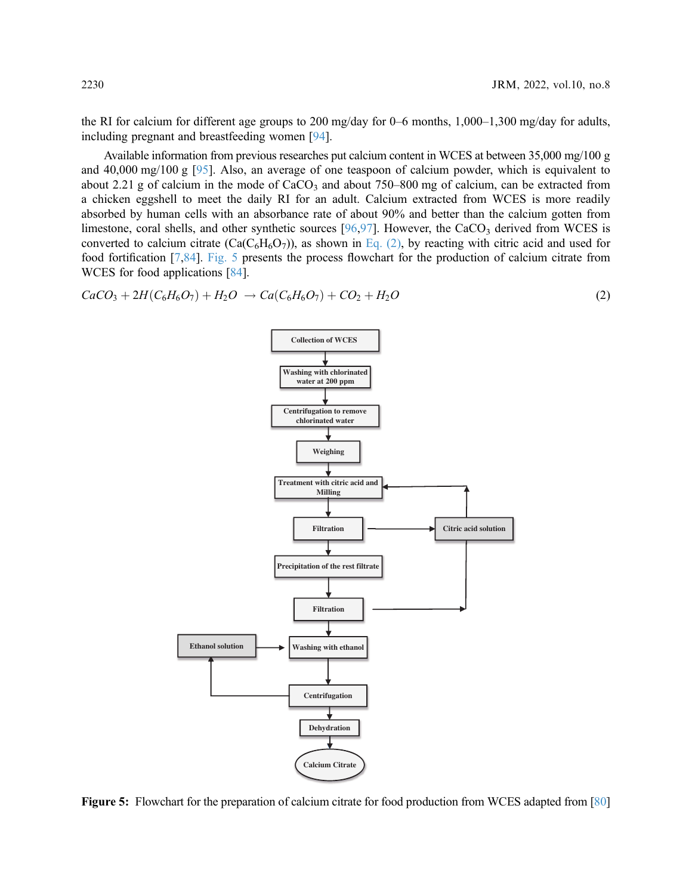the RI for calcium for different age groups to 200 mg/day for 0–6 months, 1,000–1,300 mg/day for adults, including pregnant and breastfeeding women [\[94\]](#page-26-12).

Available information from previous researches put calcium content in WCES at between 35,000 mg/100 g and 40,000 mg/100 g [[95\]](#page-26-13). Also, an average of one teaspoon of calcium powder, which is equivalent to about 2.21 g of calcium in the mode of  $CaCO<sub>3</sub>$  and about 750–800 mg of calcium, can be extracted from a chicken eggshell to meet the daily RI for an adult. Calcium extracted from WCES is more readily absorbed by human cells with an absorbance rate of about 90% and better than the calcium gotten from limestone, coral shells, and other synthetic sources  $[96,97]$  $[96,97]$  $[96,97]$ . However, the CaCO<sub>3</sub> derived from WCES is converted to calcium citrate  $(Ca(C_6H_6O_7))$ , as shown in [Eq. \(2\),](#page-13-0) by reacting with citric acid and used for food fortification [\[7,](#page-22-1)[84\]](#page-26-2). [Fig. 5](#page-13-1) presents the process flowchart for the production of calcium citrate from WCES for food applications [[84\]](#page-26-2).

<span id="page-13-1"></span><span id="page-13-0"></span>
$$
CaCO_3 + 2H(C_6H_6O_7) + H_2O \rightarrow Ca(C_6H_6O_7) + CO_2 + H_2O
$$
\n(2)



Figure 5: Flowchart for the preparation of calcium citrate for food production from WCES adapted from [\[80\]](#page-25-13)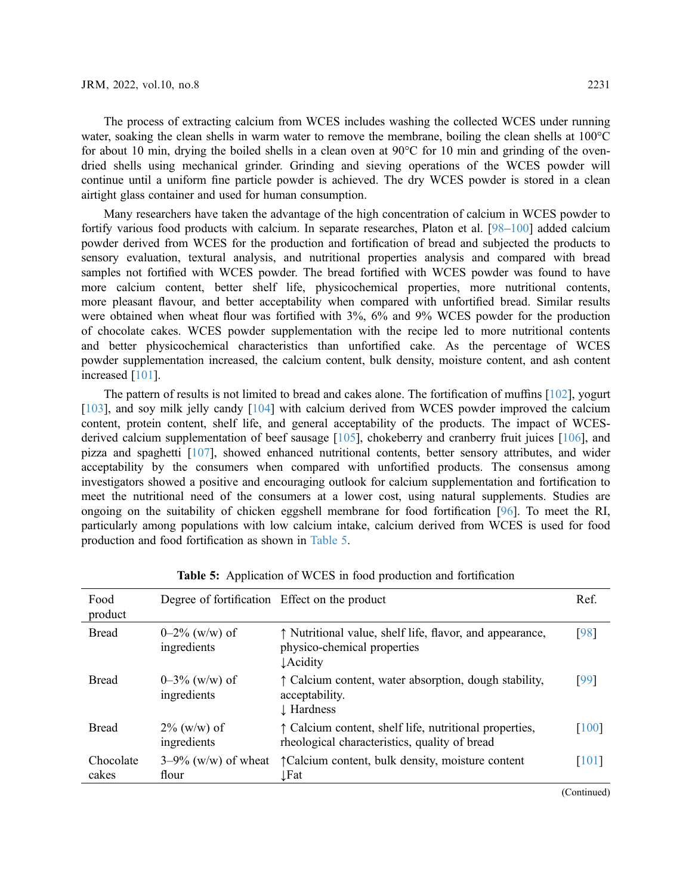The process of extracting calcium from WCES includes washing the collected WCES under running water, soaking the clean shells in warm water to remove the membrane, boiling the clean shells at 100°C for about 10 min, drying the boiled shells in a clean oven at 90°C for 10 min and grinding of the ovendried shells using mechanical grinder. Grinding and sieving operations of the WCES powder will continue until a uniform fine particle powder is achieved. The dry WCES powder is stored in a clean airtight glass container and used for human consumption.

Many researchers have taken the advantage of the high concentration of calcium in WCES powder to fortify various food products with calcium. In separate researches, Platon et al. [\[98](#page-26-16)–[100](#page-26-17)] added calcium powder derived from WCES for the production and fortification of bread and subjected the products to sensory evaluation, textural analysis, and nutritional properties analysis and compared with bread samples not fortified with WCES powder. The bread fortified with WCES powder was found to have more calcium content, better shelf life, physicochemical properties, more nutritional contents, more pleasant flavour, and better acceptability when compared with unfortified bread. Similar results were obtained when wheat flour was fortified with 3%, 6% and 9% WCES powder for the production of chocolate cakes. WCES powder supplementation with the recipe led to more nutritional contents and better physicochemical characteristics than unfortified cake. As the percentage of WCES powder supplementation increased, the calcium content, bulk density, moisture content, and ash content increased [[101](#page-26-18)].

The pattern of results is not limited to bread and cakes alone. The fortification of muffins [\[102\]](#page-27-0), yogurt [[103\]](#page-27-1), and soy milk jelly candy [\[104\]](#page-27-2) with calcium derived from WCES powder improved the calcium content, protein content, shelf life, and general acceptability of the products. The impact of WCES-derived calcium supplementation of beef sausage [[105](#page-27-3)], chokeberry and cranberry fruit juices [[106](#page-27-4)], and pizza and spaghetti [\[107\]](#page-27-5), showed enhanced nutritional contents, better sensory attributes, and wider acceptability by the consumers when compared with unfortified products. The consensus among investigators showed a positive and encouraging outlook for calcium supplementation and fortification to meet the nutritional need of the consumers at a lower cost, using natural supplements. Studies are ongoing on the suitability of chicken eggshell membrane for food fortification [\[96](#page-26-14)]. To meet the RI, particularly among populations with low calcium intake, calcium derived from WCES is used for food production and food fortification as shown in [Table 5](#page-14-0).

<span id="page-14-0"></span>

| Food<br>product    | Degree of fortification Effect on the product |                                                                                                             | Ref.  |
|--------------------|-----------------------------------------------|-------------------------------------------------------------------------------------------------------------|-------|
| <b>Bread</b>       | $0-2\%$ (w/w) of<br>ingredients               | ↑ Nutritional value, shelf life, flavor, and appearance,<br>physico-chemical properties<br><b>L</b> Acidity | [98]  |
| <b>Bread</b>       | $0-3\%$ (w/w) of<br>ingredients               | ↑ Calcium content, water absorption, dough stability,<br>acceptability.<br>↓ Hardness                       | [99]  |
| <b>Bread</b>       | $2\%$ (w/w) of<br>ingredients                 | ↑ Calcium content, shelf life, nutritional properties,<br>rheological characteristics, quality of bread     | [100] |
| Chocolate<br>cakes | $3-9\%$ (w/w) of wheat<br>flour               | ↑ Calcium content, bulk density, moisture content<br>Fat                                                    | [101] |

Table 5: Application of WCES in food production and fortification

(Continued)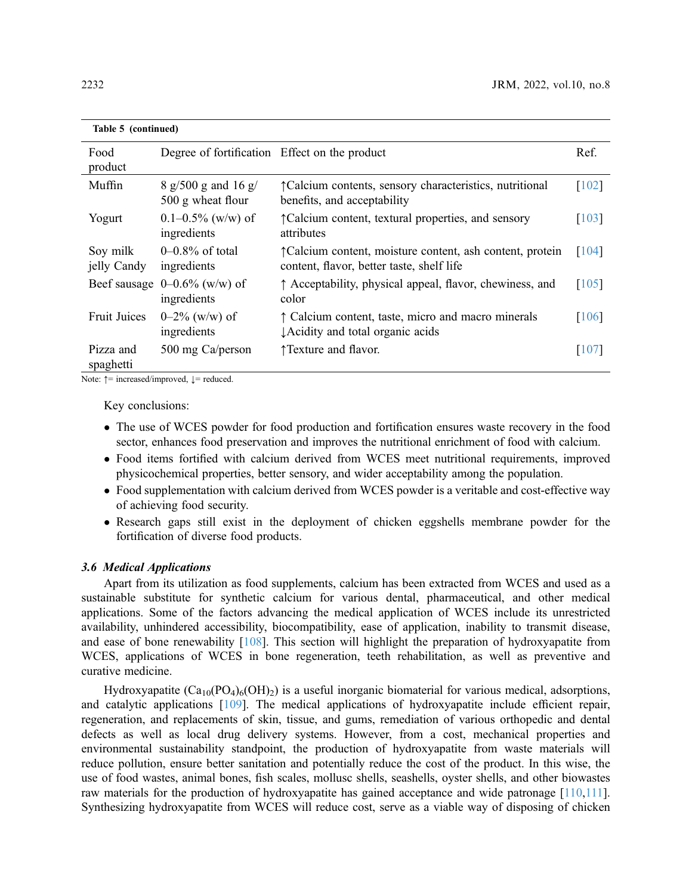| Table 5 (continued)     |                                                |                                                                                                                 |                     |
|-------------------------|------------------------------------------------|-----------------------------------------------------------------------------------------------------------------|---------------------|
| Food<br>product         | Degree of fortification Effect on the product  |                                                                                                                 | Ref.                |
| Muffin                  | 8 g/500 g and 16 g/<br>500 g wheat flour       | <i><u><del>TCalcium</del></u></i> contents, sensory characteristics, nutritional<br>benefits, and acceptability | $\lceil 102 \rceil$ |
| Yogurt                  | $0.1 - 0.5\%$ (w/w) of<br>ingredients          | ↑ Calcium content, textural properties, and sensory<br>attributes                                               | $\lceil 103 \rceil$ |
| Soy milk<br>jelly Candy | $0-0.8\%$ of total<br>ingredients              | ↑ Calcium content, moisture content, ash content, protein<br>content, flavor, better taste, shelf life          | [104]               |
|                         | Beef sausage $0-0.6\%$ (w/w) of<br>ingredients | ↑ Acceptability, physical appeal, flavor, chewiness, and<br>color                                               | $\lceil 105 \rceil$ |
| <b>Fruit Juices</b>     | $0-2\%$ (w/w) of<br>ingredients                | ↑ Calcium content, taste, micro and macro minerals<br>LAcidity and total organic acids                          | $\lceil 106 \rceil$ |
| Pizza and<br>spaghetti  | 500 mg Ca/person                               | ↑ Texture and flavor.                                                                                           | $\lceil 107 \rceil$ |

Note:  $\uparrow$  = increased/improved,  $\downarrow$  = reduced.

Key conclusions:

- The use of WCES powder for food production and fortification ensures waste recovery in the food sector, enhances food preservation and improves the nutritional enrichment of food with calcium.
- Food items fortified with calcium derived from WCES meet nutritional requirements, improved physicochemical properties, better sensory, and wider acceptability among the population.
- Food supplementation with calcium derived from WCES powder is a veritable and cost-effective way of achieving food security.
- Research gaps still exist in the deployment of chicken eggshells membrane powder for the fortification of diverse food products.

# 3.6 Medical Applications

Apart from its utilization as food supplements, calcium has been extracted from WCES and used as a sustainable substitute for synthetic calcium for various dental, pharmaceutical, and other medical applications. Some of the factors advancing the medical application of WCES include its unrestricted availability, unhindered accessibility, biocompatibility, ease of application, inability to transmit disease, and ease of bone renewability [\[108\]](#page-27-6). This section will highlight the preparation of hydroxyapatite from WCES, applications of WCES in bone regeneration, teeth rehabilitation, as well as preventive and curative medicine.

Hydroxyapatite  $(Ca_{10}(PO_4)_6(OH)_2)$  is a useful inorganic biomaterial for various medical, adsorptions, and catalytic applications [[109](#page-27-7)]. The medical applications of hydroxyapatite include efficient repair, regeneration, and replacements of skin, tissue, and gums, remediation of various orthopedic and dental defects as well as local drug delivery systems. However, from a cost, mechanical properties and environmental sustainability standpoint, the production of hydroxyapatite from waste materials will reduce pollution, ensure better sanitation and potentially reduce the cost of the product. In this wise, the use of food wastes, animal bones, fish scales, mollusc shells, seashells, oyster shells, and other biowastes raw materials for the production of hydroxyapatite has gained acceptance and wide patronage [\[110](#page-27-8)[,111\]](#page-27-9). Synthesizing hydroxyapatite from WCES will reduce cost, serve as a viable way of disposing of chicken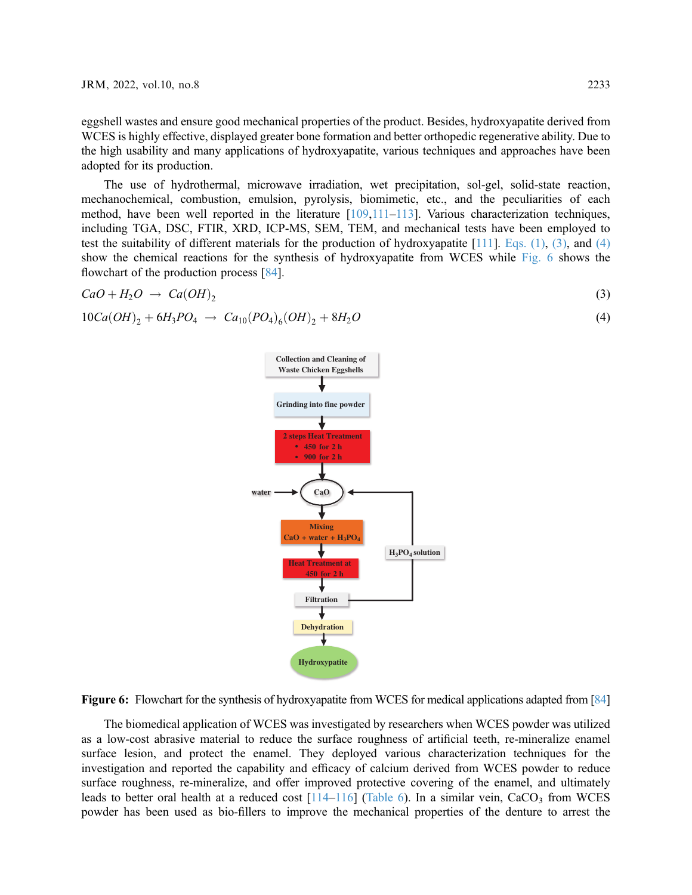eggshell wastes and ensure good mechanical properties of the product. Besides, hydroxyapatite derived from WCES is highly effective, displayed greater bone formation and better orthopedic regenerative ability. Due to the high usability and many applications of hydroxyapatite, various techniques and approaches have been adopted for its production.

The use of hydrothermal, microwave irradiation, wet precipitation, sol-gel, solid-state reaction, mechanochemical, combustion, emulsion, pyrolysis, biomimetic, etc., and the peculiarities of each method, have been well reported in the literature [\[109](#page-27-7)[,111](#page-27-9)–[113\]](#page-27-10). Various characterization techniques, including TGA, DSC, FTIR, XRD, ICP-MS, SEM, TEM, and mechanical tests have been employed to test the suitability of different materials for the production of hydroxyapatite  $[111]$ . Eqs.  $(1)$ ,  $(3)$ , and  $(4)$ show the chemical reactions for the synthesis of hydroxyapatite from WCES while [Fig. 6](#page-16-2) shows the flowchart of the production process [[84\]](#page-26-2).

<span id="page-16-1"></span><span id="page-16-0"></span>
$$
CaO + H_2O \rightarrow Ca(OH)_2 \tag{3}
$$

<span id="page-16-2"></span>
$$
10Ca(OH)_2 + 6H_3PO_4 \rightarrow Ca_{10}(PO_4)_6(OH)_2 + 8H_2O \tag{4}
$$



Figure 6: Flowchart for the synthesis of hydroxyapatite from WCES for medical applications adapted from [\[84\]](#page-26-2)

The biomedical application of WCES was investigated by researchers when WCES powder was utilized as a low-cost abrasive material to reduce the surface roughness of artificial teeth, re-mineralize enamel surface lesion, and protect the enamel. They deployed various characterization techniques for the investigation and reported the capability and efficacy of calcium derived from WCES powder to reduce surface roughness, re-mineralize, and offer improved protective covering of the enamel, and ultimately leads to better oral health at a reduced cost  $[114-116]$  $[114-116]$  $[114-116]$  ([Table 6\)](#page-17-0). In a similar vein, CaCO<sub>3</sub> from WCES powder has been used as bio-fillers to improve the mechanical properties of the denture to arrest the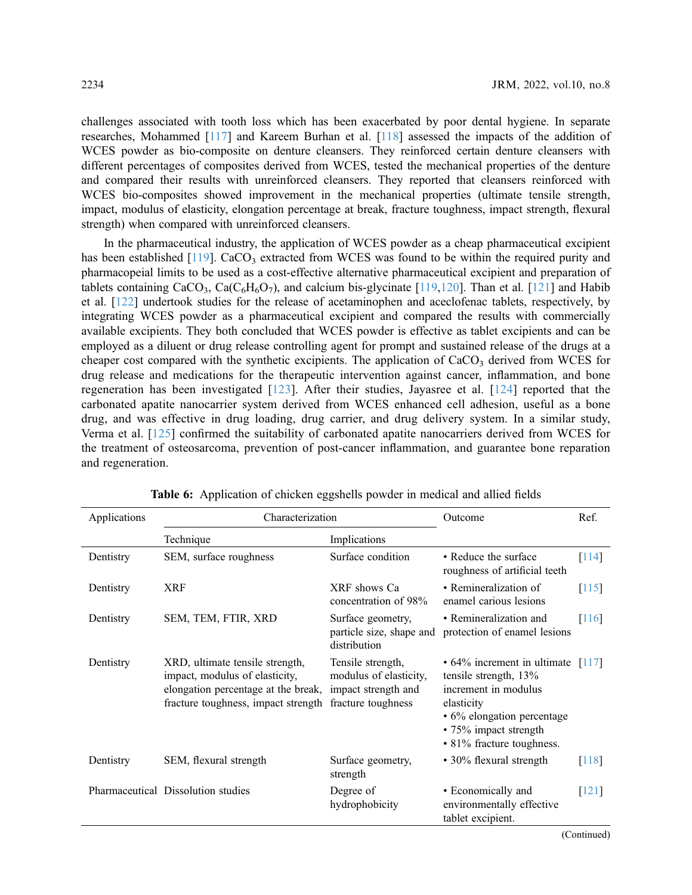challenges associated with tooth loss which has been exacerbated by poor dental hygiene. In separate researches, Mohammed [\[117](#page-27-13)] and Kareem Burhan et al. [[118](#page-27-14)] assessed the impacts of the addition of WCES powder as bio-composite on denture cleansers. They reinforced certain denture cleansers with different percentages of composites derived from WCES, tested the mechanical properties of the denture and compared their results with unreinforced cleansers. They reported that cleansers reinforced with WCES bio-composites showed improvement in the mechanical properties (ultimate tensile strength, impact, modulus of elasticity, elongation percentage at break, fracture toughness, impact strength, flexural strength) when compared with unreinforced cleansers.

In the pharmaceutical industry, the application of WCES powder as a cheap pharmaceutical excipient has been established  $[119]$  $[119]$ . CaCO<sub>3</sub> extracted from WCES was found to be within the required purity and pharmacopeial limits to be used as a cost-effective alternative pharmaceutical excipient and preparation of tablets containing  $CaCO_3$ ,  $Ca(C_6H_6O_7)$ , and calcium bis-glycinate [\[119](#page-28-0)[,120](#page-28-1)]. Than et al. [[121](#page-28-2)] and Habib et al. [\[122\]](#page-28-3) undertook studies for the release of acetaminophen and aceclofenac tablets, respectively, by integrating WCES powder as a pharmaceutical excipient and compared the results with commercially available excipients. They both concluded that WCES powder is effective as tablet excipients and can be employed as a diluent or drug release controlling agent for prompt and sustained release of the drugs at a cheaper cost compared with the synthetic excipients. The application of  $CaCO<sub>3</sub>$  derived from WCES for drug release and medications for the therapeutic intervention against cancer, inflammation, and bone regeneration has been investigated [[123\]](#page-28-4). After their studies, Jayasree et al. [\[124](#page-28-5)] reported that the carbonated apatite nanocarrier system derived from WCES enhanced cell adhesion, useful as a bone drug, and was effective in drug loading, drug carrier, and drug delivery system. In a similar study, Verma et al. [[125](#page-28-6)] confirmed the suitability of carbonated apatite nanocarriers derived from WCES for the treatment of osteosarcoma, prevention of post-cancer inflammation, and guarantee bone reparation and regeneration.

<span id="page-17-0"></span>

| Applications | Characterization                                                                                                                                |                                                                                          | Outcome                                                                                                                                                                                    | Ref.                |
|--------------|-------------------------------------------------------------------------------------------------------------------------------------------------|------------------------------------------------------------------------------------------|--------------------------------------------------------------------------------------------------------------------------------------------------------------------------------------------|---------------------|
|              | Technique                                                                                                                                       | Implications                                                                             |                                                                                                                                                                                            |                     |
| Dentistry    | SEM, surface roughness                                                                                                                          | Surface condition                                                                        | • Reduce the surface<br>roughness of artificial teeth                                                                                                                                      | $[114]$             |
| Dentistry    | <b>XRF</b>                                                                                                                                      | XRF shows Ca<br>concentration of 98%                                                     | • Remineralization of<br>enamel carious lesions                                                                                                                                            | $\lceil 115 \rceil$ |
| Dentistry    | SEM, TEM, FTIR, XRD                                                                                                                             | Surface geometry,<br>particle size, shape and<br>distribution                            | • Remineralization and<br>protection of enamel lesions                                                                                                                                     | 116                 |
| Dentistry    | XRD, ultimate tensile strength,<br>impact, modulus of elasticity,<br>elongation percentage at the break,<br>fracture toughness, impact strength | Tensile strength,<br>modulus of elasticity,<br>impact strength and<br>fracture toughness | $\cdot$ 64% increment in ultimate [117]<br>tensile strength, 13%<br>increment in modulus<br>elasticity<br>• 6% elongation percentage<br>• 75% impact strength<br>• 81% fracture toughness. |                     |
| Dentistry    | SEM, flexural strength                                                                                                                          | Surface geometry,<br>strength                                                            | • 30% flexural strength                                                                                                                                                                    | $\lceil 118 \rceil$ |
|              | Pharmaceutical Dissolution studies                                                                                                              | Degree of<br>hydrophobicity                                                              | • Economically and<br>environmentally effective<br>tablet excipient.                                                                                                                       | $\lceil 121 \rceil$ |

Table 6: Application of chicken eggshells powder in medical and allied fields

(Continued)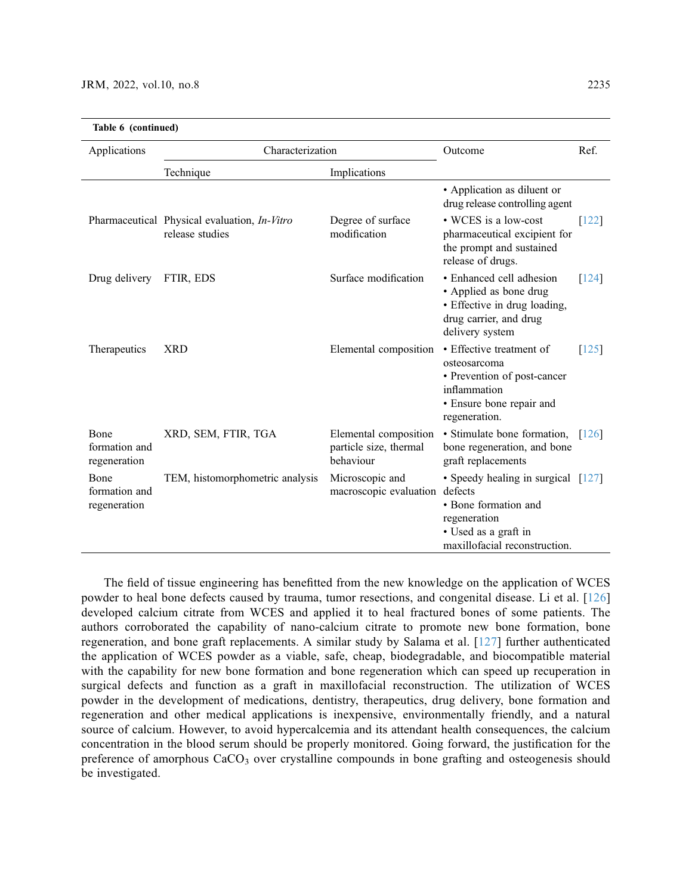|                                       | Table 6 (continued)                                             |                                                              |                                                                                                                                      |                     |  |
|---------------------------------------|-----------------------------------------------------------------|--------------------------------------------------------------|--------------------------------------------------------------------------------------------------------------------------------------|---------------------|--|
| Applications                          | Characterization                                                |                                                              | Outcome                                                                                                                              | Ref.                |  |
|                                       | Technique                                                       | Implications                                                 |                                                                                                                                      |                     |  |
|                                       |                                                                 |                                                              | • Application as diluent or<br>drug release controlling agent                                                                        |                     |  |
|                                       | Pharmaceutical Physical evaluation, In-Vitro<br>release studies | Degree of surface<br>modification                            | • WCES is a low-cost<br>pharmaceutical excipient for<br>the prompt and sustained<br>release of drugs.                                | $\lceil 122 \rceil$ |  |
| Drug delivery                         | FTIR, EDS                                                       | Surface modification                                         | • Enhanced cell adhesion<br>• Applied as bone drug<br>• Effective in drug loading,<br>drug carrier, and drug<br>delivery system      | $[124]$             |  |
| Therapeutics                          | <b>XRD</b>                                                      | Elemental composition                                        | • Effective treatment of<br>osteosarcoma<br>• Prevention of post-cancer<br>inflammation<br>· Ensure bone repair and<br>regeneration. | $[125]$             |  |
| Bone<br>formation and<br>regeneration | XRD, SEM, FTIR, TGA                                             | Elemental composition<br>particle size, thermal<br>behaviour | · Stimulate bone formation,<br>bone regeneration, and bone<br>graft replacements                                                     | $\lceil 126 \rceil$ |  |
| Bone<br>formation and<br>regeneration | TEM, histomorphometric analysis                                 | Microscopic and<br>macroscopic evaluation defects            | • Speedy healing in surgical [127]<br>• Bone formation and<br>regeneration<br>• Used as a graft in<br>maxillofacial reconstruction.  |                     |  |

The field of tissue engineering has benefitted from the new knowledge on the application of WCES powder to heal bone defects caused by trauma, tumor resections, and congenital disease. Li et al. [[126\]](#page-28-7) developed calcium citrate from WCES and applied it to heal fractured bones of some patients. The authors corroborated the capability of nano-calcium citrate to promote new bone formation, bone regeneration, and bone graft replacements. A similar study by Salama et al. [\[127\]](#page-28-8) further authenticated the application of WCES powder as a viable, safe, cheap, biodegradable, and biocompatible material with the capability for new bone formation and bone regeneration which can speed up recuperation in surgical defects and function as a graft in maxillofacial reconstruction. The utilization of WCES powder in the development of medications, dentistry, therapeutics, drug delivery, bone formation and regeneration and other medical applications is inexpensive, environmentally friendly, and a natural source of calcium. However, to avoid hypercalcemia and its attendant health consequences, the calcium concentration in the blood serum should be properly monitored. Going forward, the justification for the preference of amorphous CaCO<sub>3</sub> over crystalline compounds in bone grafting and osteogenesis should be investigated.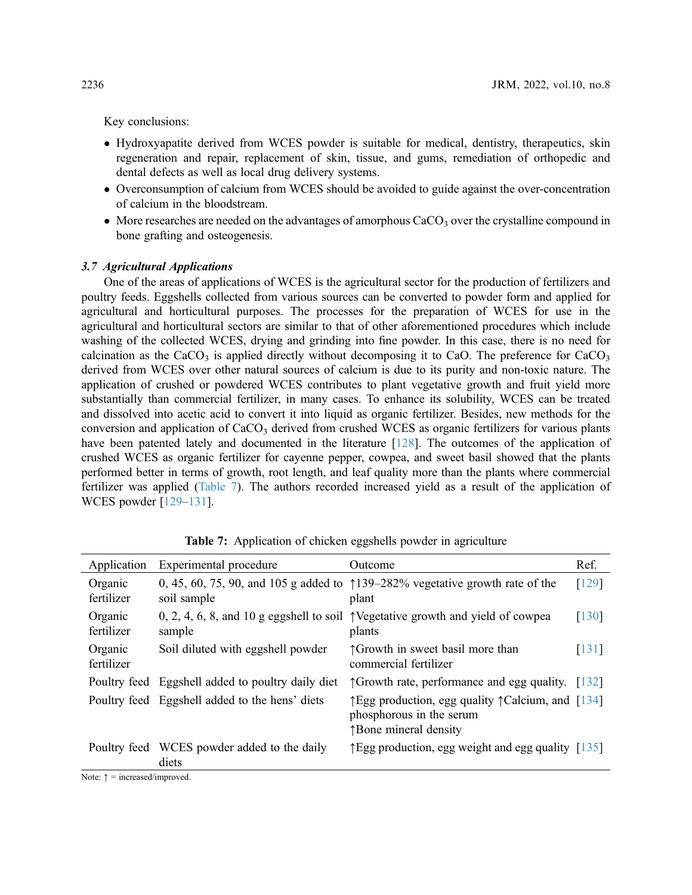Key conclusions:

- Hydroxyapatite derived from WCES powder is suitable for medical, dentistry, therapeutics, skin regeneration and repair, replacement of skin, tissue, and gums, remediation of orthopedic and dental defects as well as local drug delivery systems.
- Overconsumption of calcium from WCES should be avoided to guide against the over-concentration of calcium in the bloodstream.
- More researches are needed on the advantages of amorphous  $CaCO<sub>3</sub>$  over the crystalline compound in bone grafting and osteogenesis.

### 3.7 Agricultural Applications

One of the areas of applications of WCES is the agricultural sector for the production of fertilizers and poultry feeds. Eggshells collected from various sources can be converted to powder form and applied for agricultural and horticultural purposes. The processes for the preparation of WCES for use in the agricultural and horticultural sectors are similar to that of other aforementioned procedures which include washing of the collected WCES, drying and grinding into fine powder. In this case, there is no need for calcination as the CaCO<sub>3</sub> is applied directly without decomposing it to CaO. The preference for CaCO<sub>3</sub> derived from WCES over other natural sources of calcium is due to its purity and non-toxic nature. The application of crushed or powdered WCES contributes to plant vegetative growth and fruit yield more substantially than commercial fertilizer, in many cases. To enhance its solubility, WCES can be treated and dissolved into acetic acid to convert it into liquid as organic fertilizer. Besides, new methods for the conversion and application of CaCO<sub>3</sub> derived from crushed WCES as organic fertilizers for various plants have been patented lately and documented in the literature [\[128\]](#page-28-9). The outcomes of the application of crushed WCES as organic fertilizer for cayenne pepper, cowpea, and sweet basil showed that the plants performed better in terms of growth, root length, and leaf quality more than the plants where commercial fertilizer was applied ([Table 7\)](#page-19-0). The authors recorded increased yield as a result of the application of WCES powder [[129](#page-28-10)–[131](#page-28-11)].

<span id="page-19-0"></span>

| Application           | Experimental procedure                               | Outcome                                                                                                                        | Ref.                |
|-----------------------|------------------------------------------------------|--------------------------------------------------------------------------------------------------------------------------------|---------------------|
| Organic<br>fertilizer | soil sample                                          | 0, 45, 60, 75, 90, and 105 g added to $\uparrow$ 139–282% vegetative growth rate of the<br>plant                               | [129]               |
| Organic<br>fertilizer | sample                                               | 0, 2, 4, 6, 8, and 10 g eggshell to soil $\uparrow$ Vegetative growth and yield of cowpea<br>plants                            | $\lceil 130 \rceil$ |
| Organic<br>fertilizer | Soil diluted with eggshell powder                    | ↑ Growth in sweet basil more than<br>commercial fertilizer                                                                     | $\lceil 131 \rceil$ |
|                       | Poultry feed Eggshell added to poultry daily diet    | $\uparrow$ Growth rate, performance and egg quality. [132]                                                                     |                     |
|                       | Poultry feed Eggshell added to the hens' diets       | $\uparrow$ Egg production, egg quality $\uparrow$ Calcium, and [134]<br>phosphorous in the serum<br><b>The mineral density</b> |                     |
|                       | Poultry feed WCES powder added to the daily<br>diets | $\uparrow$ Egg production, egg weight and egg quality [135]                                                                    |                     |

Table 7: Application of chicken eggshells powder in agriculture

Note:  $\uparrow$  = increased/improved.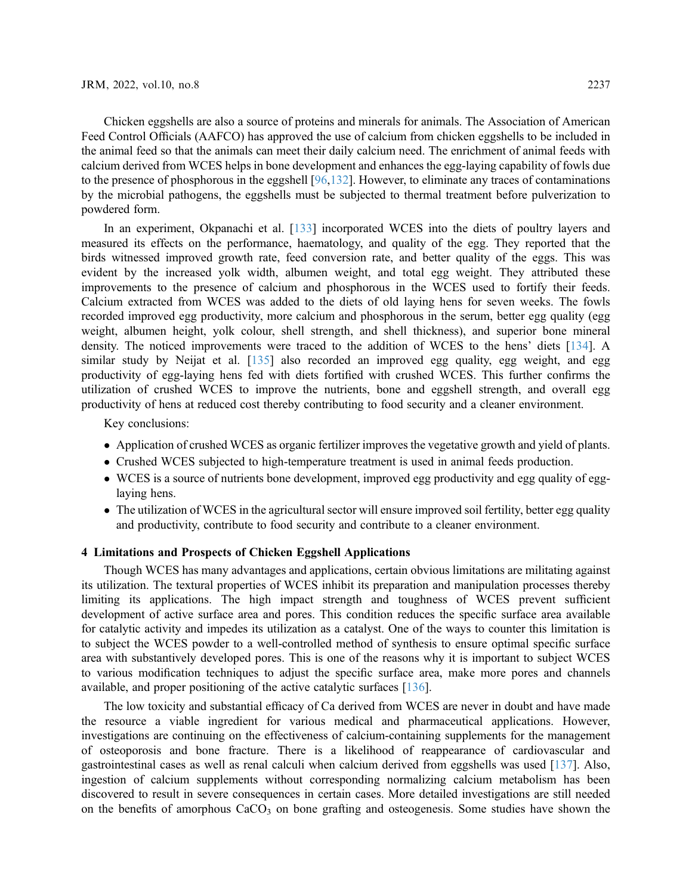Chicken eggshells are also a source of proteins and minerals for animals. The Association of American Feed Control Officials (AAFCO) has approved the use of calcium from chicken eggshells to be included in the animal feed so that the animals can meet their daily calcium need. The enrichment of animal feeds with calcium derived from WCES helps in bone development and enhances the egg-laying capability of fowls due to the presence of phosphorous in the eggshell [[96,](#page-26-14)[132\]](#page-28-13). However, to eliminate any traces of contaminations by the microbial pathogens, the eggshells must be subjected to thermal treatment before pulverization to powdered form.

In an experiment, Okpanachi et al. [\[133](#page-28-16)] incorporated WCES into the diets of poultry layers and measured its effects on the performance, haematology, and quality of the egg. They reported that the birds witnessed improved growth rate, feed conversion rate, and better quality of the eggs. This was evident by the increased yolk width, albumen weight, and total egg weight. They attributed these improvements to the presence of calcium and phosphorous in the WCES used to fortify their feeds. Calcium extracted from WCES was added to the diets of old laying hens for seven weeks. The fowls recorded improved egg productivity, more calcium and phosphorous in the serum, better egg quality (egg weight, albumen height, yolk colour, shell strength, and shell thickness), and superior bone mineral density. The noticed improvements were traced to the addition of WCES to the hens' diets [[134\]](#page-28-14). A similar study by Neijat et al. [\[135\]](#page-28-15) also recorded an improved egg quality, egg weight, and egg productivity of egg-laying hens fed with diets fortified with crushed WCES. This further confirms the utilization of crushed WCES to improve the nutrients, bone and eggshell strength, and overall egg productivity of hens at reduced cost thereby contributing to food security and a cleaner environment.

Key conclusions:

- Application of crushed WCES as organic fertilizer improves the vegetative growth and yield of plants.
- Crushed WCES subjected to high-temperature treatment is used in animal feeds production.
- WCES is a source of nutrients bone development, improved egg productivity and egg quality of egglaying hens.
- The utilization of WCES in the agricultural sector will ensure improved soil fertility, better egg quality and productivity, contribute to food security and contribute to a cleaner environment.

#### 4 Limitations and Prospects of Chicken Eggshell Applications

Though WCES has many advantages and applications, certain obvious limitations are militating against its utilization. The textural properties of WCES inhibit its preparation and manipulation processes thereby limiting its applications. The high impact strength and toughness of WCES prevent sufficient development of active surface area and pores. This condition reduces the specific surface area available for catalytic activity and impedes its utilization as a catalyst. One of the ways to counter this limitation is to subject the WCES powder to a well-controlled method of synthesis to ensure optimal specific surface area with substantively developed pores. This is one of the reasons why it is important to subject WCES to various modification techniques to adjust the specific surface area, make more pores and channels available, and proper positioning of the active catalytic surfaces [[136\]](#page-28-17).

The low toxicity and substantial efficacy of Ca derived from WCES are never in doubt and have made the resource a viable ingredient for various medical and pharmaceutical applications. However, investigations are continuing on the effectiveness of calcium-containing supplements for the management of osteoporosis and bone fracture. There is a likelihood of reappearance of cardiovascular and gastrointestinal cases as well as renal calculi when calcium derived from eggshells was used [[137\]](#page-29-0). Also, ingestion of calcium supplements without corresponding normalizing calcium metabolism has been discovered to result in severe consequences in certain cases. More detailed investigations are still needed on the benefits of amorphous  $CaCO<sub>3</sub>$  on bone grafting and osteogenesis. Some studies have shown the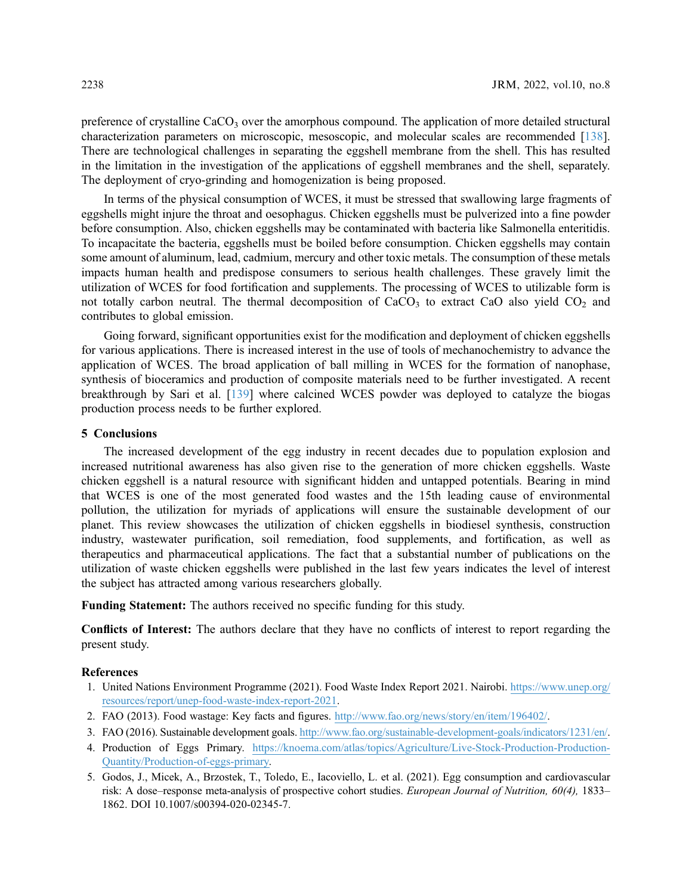preference of crystalline  $CaCO<sub>3</sub>$  over the amorphous compound. The application of more detailed structural characterization parameters on microscopic, mesoscopic, and molecular scales are recommended [\[138\]](#page-29-1). There are technological challenges in separating the eggshell membrane from the shell. This has resulted in the limitation in the investigation of the applications of eggshell membranes and the shell, separately. The deployment of cryo-grinding and homogenization is being proposed.

In terms of the physical consumption of WCES, it must be stressed that swallowing large fragments of eggshells might injure the throat and oesophagus. Chicken eggshells must be pulverized into a fine powder before consumption. Also, chicken eggshells may be contaminated with bacteria like Salmonella enteritidis. To incapacitate the bacteria, eggshells must be boiled before consumption. Chicken eggshells may contain some amount of aluminum, lead, cadmium, mercury and other toxic metals. The consumption of these metals impacts human health and predispose consumers to serious health challenges. These gravely limit the utilization of WCES for food fortification and supplements. The processing of WCES to utilizable form is not totally carbon neutral. The thermal decomposition of  $CaCO<sub>3</sub>$  to extract CaO also yield  $CO<sub>2</sub>$  and contributes to global emission.

Going forward, significant opportunities exist for the modification and deployment of chicken eggshells for various applications. There is increased interest in the use of tools of mechanochemistry to advance the application of WCES. The broad application of ball milling in WCES for the formation of nanophase, synthesis of bioceramics and production of composite materials need to be further investigated. A recent breakthrough by Sari et al. [\[139\]](#page-29-2) where calcined WCES powder was deployed to catalyze the biogas production process needs to be further explored.

# 5 Conclusions

The increased development of the egg industry in recent decades due to population explosion and increased nutritional awareness has also given rise to the generation of more chicken eggshells. Waste chicken eggshell is a natural resource with significant hidden and untapped potentials. Bearing in mind that WCES is one of the most generated food wastes and the 15th leading cause of environmental pollution, the utilization for myriads of applications will ensure the sustainable development of our planet. This review showcases the utilization of chicken eggshells in biodiesel synthesis, construction industry, wastewater purification, soil remediation, food supplements, and fortification, as well as therapeutics and pharmaceutical applications. The fact that a substantial number of publications on the utilization of waste chicken eggshells were published in the last few years indicates the level of interest the subject has attracted among various researchers globally.

Funding Statement: The authors received no specific funding for this study.

Conflicts of Interest: The authors declare that they have no conflicts of interest to report regarding the present study.

### References

- <span id="page-21-0"></span>1. United Nations Environment Programme (2021). Food Waste Index Report 2021. Nairobi. [https://www.unep.org/](https://www.unep.org/resources/report/unep-food-waste-index-report-2021) [resources/report/unep-food-waste-index-report-2021](https://www.unep.org/resources/report/unep-food-waste-index-report-2021).
- <span id="page-21-1"></span>2. FAO (2013). Food wastage: Key facts and figures. <http://www.fao.org/news/story/en/item/196402/>.
- <span id="page-21-2"></span>3. FAO (2016). Sustainable development goals. [http://www.fao.org/sustainable-development-goals/indicators/1231/en/.](http://www.fao.org/sustainable-development-goals/indicators/1231/en/)
- <span id="page-21-3"></span>4. Production of Eggs Primary. [https://knoema.com/atlas/topics/Agriculture/Live-Stock-Production-Production-](https://knoema.com/atlas/topics/Agriculture/Live-Stock-Production-Production-Quantity/Production-of-eggs-primary)[Quantity/Production-of-eggs-primary.](https://knoema.com/atlas/topics/Agriculture/Live-Stock-Production-Production-Quantity/Production-of-eggs-primary)
- <span id="page-21-4"></span>5. Godos, J., Micek, A., Brzostek, T., Toledo, E., Iacoviello, L. et al. (2021). Egg consumption and cardiovascular risk: A dose–response meta-analysis of prospective cohort studies. European Journal of Nutrition, 60(4), 1833– 1862. DOI [10.1007/s00394-020-02345-7.](http://dx.doi.org/10.1007/s00394-020-02345-7)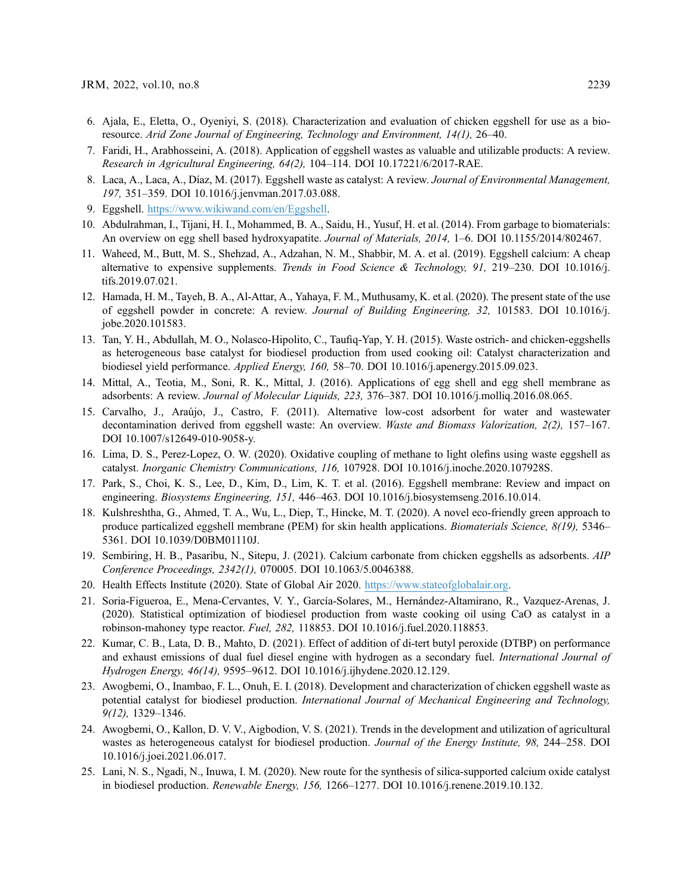- <span id="page-22-0"></span>6. Ajala, E., Eletta, O., Oyeniyi, S. (2018). Characterization and evaluation of chicken eggshell for use as a bioresource. Arid Zone Journal of Engineering, Technology and Environment, 14(1), 26–40.
- <span id="page-22-1"></span>7. Faridi, H., Arabhosseini, A. (2018). Application of eggshell wastes as valuable and utilizable products: A review. Research in Agricultural Engineering, 64(2), 104–114. DOI [10.17221/6/2017-RAE](http://dx.doi.org/10.17221/6/2017-RAE).
- <span id="page-22-2"></span>8. Laca, A., Laca, A., Díaz, M. (2017). Eggshell waste as catalyst: A review. Journal of Environmental Management, 197, 351–359. DOI [10.1016/j.jenvman.2017.03.088.](http://dx.doi.org/10.1016/j.jenvman.2017.03.088)
- <span id="page-22-9"></span>9. Eggshell. <https://www.wikiwand.com/en/Eggshell>.
- <span id="page-22-3"></span>10. Abdulrahman, I., Tijani, H. I., Mohammed, B. A., Saidu, H., Yusuf, H. et al. (2014). From garbage to biomaterials: An overview on egg shell based hydroxyapatite. Journal of Materials, 2014, 1–6. DOI [10.1155/2014/802467.](http://dx.doi.org/10.1155/2014/802467)
- <span id="page-22-4"></span>11. Waheed, M., Butt, M. S., Shehzad, A., Adzahan, N. M., Shabbir, M. A. et al. (2019). Eggshell calcium: A cheap alternative to expensive supplements. Trends in Food Science & Technology, 91, 219-230. DOI [10.1016/j.](http://dx.doi.org/10.1016/j.tifs.2019.07.021) [tifs.2019.07.021.](http://dx.doi.org/10.1016/j.tifs.2019.07.021)
- <span id="page-22-5"></span>12. Hamada, H. M., Tayeh, B. A., Al-Attar, A., Yahaya, F. M., Muthusamy, K. et al. (2020). The present state of the use of eggshell powder in concrete: A review. Journal of Building Engineering, 32, 101583. DOI [10.1016/j.](http://dx.doi.org/10.1016/j.jobe.2020.101583) [jobe.2020.101583](http://dx.doi.org/10.1016/j.jobe.2020.101583).
- 13. Tan, Y. H., Abdullah, M. O., Nolasco-Hipolito, C., Taufiq-Yap, Y. H. (2015). Waste ostrich- and chicken-eggshells as heterogeneous base catalyst for biodiesel production from used cooking oil: Catalyst characterization and biodiesel yield performance. Applied Energy, 160, 58–70. DOI [10.1016/j.apenergy.2015.09.023.](http://dx.doi.org/10.1016/j.apenergy.2015.09.023)
- <span id="page-22-17"></span>14. Mittal, A., Teotia, M., Soni, R. K., Mittal, J. (2016). Applications of egg shell and egg shell membrane as adsorbents: A review. Journal of Molecular Liquids, 223, 376–387. DOI [10.1016/j.molliq.2016.08.065](http://dx.doi.org/10.1016/j.molliq.2016.08.065).
- <span id="page-22-6"></span>15. Carvalho, J., Araújo, J., Castro, F. (2011). Alternative low-cost adsorbent for water and wastewater decontamination derived from eggshell waste: An overview. Waste and Biomass Valorization, 2(2), 157–167. DOI [10.1007/s12649-010-9058-y.](http://dx.doi.org/10.1007/s12649-010-9058-y)
- <span id="page-22-7"></span>16. Lima, D. S., Perez-Lopez, O. W. (2020). Oxidative coupling of methane to light olefins using waste eggshell as catalyst. Inorganic Chemistry Communications, 116, 107928. DOI [10.1016/j.inoche.2020.107928S](http://dx.doi.org/10.1016/j.inoche.2020.107928S).
- 17. Park, S., Choi, K. S., Lee, D., Kim, D., Lim, K. T. et al. (2016). Eggshell membrane: Review and impact on engineering. Biosystems Engineering, 151, 446–463. DOI [10.1016/j.biosystemseng.2016.10.014](http://dx.doi.org/10.1016/j.biosystemseng.2016.10.014).
- <span id="page-22-8"></span>18. Kulshreshtha, G., Ahmed, T. A., Wu, L., Diep, T., Hincke, M. T. (2020). A novel eco-friendly green approach to produce particalized eggshell membrane (PEM) for skin health applications. Biomaterials Science, 8(19), 5346– 5361. DOI [10.1039/D0BM01110J](http://dx.doi.org/10.1039/D0BM01110J).
- <span id="page-22-10"></span>19. Sembiring, H. B., Pasaribu, N., Sitepu, J. (2021). Calcium carbonate from chicken eggshells as adsorbents. AIP Conference Proceedings, 2342(1), 070005. DOI [10.1063/5.0046388.](http://dx.doi.org/10.1063/5.0046388)
- <span id="page-22-11"></span>20. Health Effects Institute (2020). State of Global Air 2020. [https://www.stateofglobalair.org.](https://www.stateofglobalair.org)
- <span id="page-22-13"></span>21. Soria-Figueroa, E., Mena-Cervantes, V. Y., García-Solares, M., Hernández-Altamirano, R., Vazquez-Arenas, J. (2020). Statistical optimization of biodiesel production from waste cooking oil using CaO as catalyst in a robinson-mahoney type reactor. Fuel, 282, 118853. DOI [10.1016/j.fuel.2020.118853.](http://dx.doi.org/10.1016/j.fuel.2020.118853)
- <span id="page-22-12"></span>22. Kumar, C. B., Lata, D. B., Mahto, D. (2021). Effect of addition of di-tert butyl peroxide (DTBP) on performance and exhaust emissions of dual fuel diesel engine with hydrogen as a secondary fuel. International Journal of Hydrogen Energy, 46(14), 9595–9612. DOI [10.1016/j.ijhydene.2020.12.129.](http://dx.doi.org/10.1016/j.ijhydene.2020.12.129)
- <span id="page-22-14"></span>23. Awogbemi, O., Inambao, F. L., Onuh, E. I. (2018). Development and characterization of chicken eggshell waste as potential catalyst for biodiesel production. International Journal of Mechanical Engineering and Technology, 9(12), 1329–1346.
- <span id="page-22-15"></span>24. Awogbemi, O., Kallon, D. V. V., Aigbodion, V. S. (2021). Trends in the development and utilization of agricultural wastes as heterogeneous catalyst for biodiesel production. Journal of the Energy Institute, 98, 244–258. DOI [10.1016/j.joei.2021.06.017.](http://dx.doi.org/10.1016/j.joei.2021.06.017)
- <span id="page-22-16"></span>25. Lani, N. S., Ngadi, N., Inuwa, I. M. (2020). New route for the synthesis of silica-supported calcium oxide catalyst in biodiesel production. Renewable Energy, 156, 1266–1277. DOI [10.1016/j.renene.2019.10.132](http://dx.doi.org/10.1016/j.renene.2019.10.132).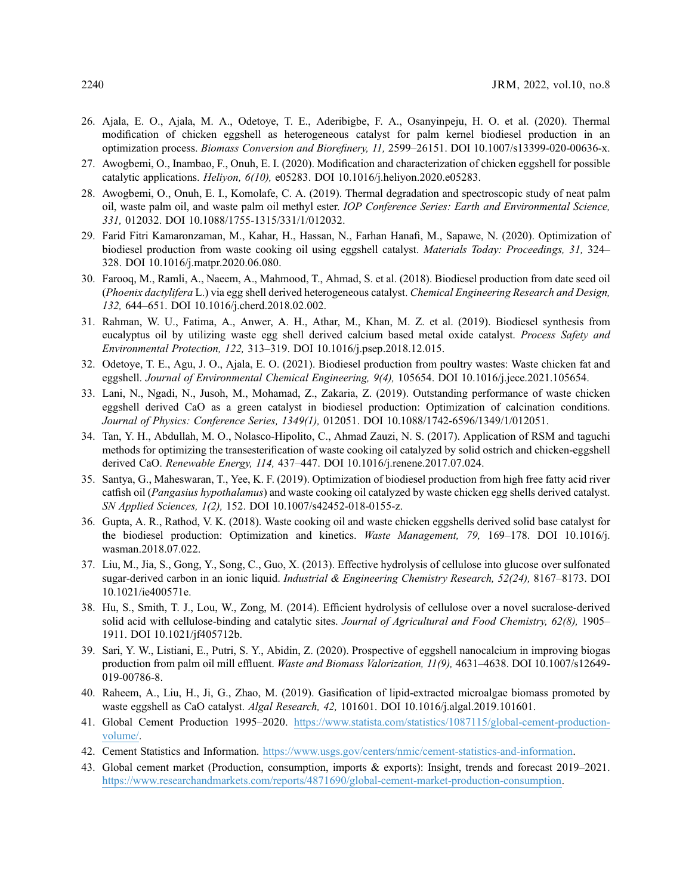- <span id="page-23-0"></span>26. Ajala, E. O., Ajala, M. A., Odetoye, T. E., Aderibigbe, F. A., Osanyinpeju, H. O. et al. (2020). Thermal modification of chicken eggshell as heterogeneous catalyst for palm kernel biodiesel production in an optimization process. Biomass Conversion and Biorefinery, 11, 2599–26151. DOI [10.1007/s13399-020-00636-x.](http://dx.doi.org/10.1007/s13399-020-00636-x)
- <span id="page-23-1"></span>27. Awogbemi, O., Inambao, F., Onuh, E. I. (2020). Modification and characterization of chicken eggshell for possible catalytic applications. Heliyon, 6(10), e05283. DOI [10.1016/j.heliyon.2020.e05283](http://dx.doi.org/10.1016/j.heliyon.2020.e05283).
- <span id="page-23-2"></span>28. Awogbemi, O., Onuh, E. I., Komolafe, C. A. (2019). Thermal degradation and spectroscopic study of neat palm oil, waste palm oil, and waste palm oil methyl ester. IOP Conference Series: Earth and Environmental Science, 331, 012032. DOI [10.1088/1755-1315/331/1/012032](http://dx.doi.org/10.1088/1755-1315/331/1/012032).
- <span id="page-23-3"></span>29. Farid Fitri Kamaronzaman, M., Kahar, H., Hassan, N., Farhan Hanafi, M., Sapawe, N. (2020). Optimization of biodiesel production from waste cooking oil using eggshell catalyst. Materials Today: Proceedings, 31, 324– 328. DOI [10.1016/j.matpr.2020.06.080.](http://dx.doi.org/10.1016/j.matpr.2020.06.080)
- <span id="page-23-4"></span>30. Farooq, M., Ramli, A., Naeem, A., Mahmood, T., Ahmad, S. et al. (2018). Biodiesel production from date seed oil (Phoenix dactylifera L.) via egg shell derived heterogeneous catalyst. Chemical Engineering Research and Design, 132, 644–651. DOI [10.1016/j.cherd.2018.02.002.](http://dx.doi.org/10.1016/j.cherd.2018.02.002)
- <span id="page-23-5"></span>31. Rahman, W. U., Fatima, A., Anwer, A. H., Athar, M., Khan, M. Z. et al. (2019). Biodiesel synthesis from eucalyptus oil by utilizing waste egg shell derived calcium based metal oxide catalyst. Process Safety and Environmental Protection, 122, 313–319. DOI [10.1016/j.psep.2018.12.015](http://dx.doi.org/10.1016/j.psep.2018.12.015).
- <span id="page-23-6"></span>32. Odetoye, T. E., Agu, J. O., Ajala, E. O. (2021). Biodiesel production from poultry wastes: Waste chicken fat and eggshell. Journal of Environmental Chemical Engineering, 9(4), 105654. DOI [10.1016/j.jece.2021.105654](http://dx.doi.org/10.1016/j.jece.2021.105654).
- <span id="page-23-7"></span>33. Lani, N., Ngadi, N., Jusoh, M., Mohamad, Z., Zakaria, Z. (2019). Outstanding performance of waste chicken eggshell derived CaO as a green catalyst in biodiesel production: Optimization of calcination conditions. Journal of Physics: Conference Series, 1349(1), 012051. DOI [10.1088/1742-6596/1349/1/012051](http://dx.doi.org/10.1088/1742-6596/1349/1/012051).
- <span id="page-23-13"></span>34. Tan, Y. H., Abdullah, M. O., Nolasco-Hipolito, C., Ahmad Zauzi, N. S. (2017). Application of RSM and taguchi methods for optimizing the transesterification of waste cooking oil catalyzed by solid ostrich and chicken-eggshell derived CaO. Renewable Energy, 114, 437–447. DOI [10.1016/j.renene.2017.07.024](http://dx.doi.org/10.1016/j.renene.2017.07.024).
- <span id="page-23-14"></span>35. Santya, G., Maheswaran, T., Yee, K. F. (2019). Optimization of biodiesel production from high free fatty acid river catfish oil (Pangasius hypothalamus) and waste cooking oil catalyzed by waste chicken egg shells derived catalyst. SN Applied Sciences, 1(2), 152. DOI [10.1007/s42452-018-0155-z](http://dx.doi.org/10.1007/s42452-018-0155-z).
- <span id="page-23-8"></span>36. Gupta, A. R., Rathod, V. K. (2018). Waste cooking oil and waste chicken eggshells derived solid base catalyst for the biodiesel production: Optimization and kinetics. Waste Management, 79, 169-178. DOI [10.1016/j.](http://dx.doi.org/10.1016/j.wasman.2018.07.022) [wasman.2018.07.022](http://dx.doi.org/10.1016/j.wasman.2018.07.022).
- <span id="page-23-9"></span>37. Liu, M., Jia, S., Gong, Y., Song, C., Guo, X. (2013). Effective hydrolysis of cellulose into glucose over sulfonated sugar-derived carbon in an ionic liquid. Industrial & Engineering Chemistry Research, 52(24), 8167-8173. DOI [10.1021/ie400571e.](http://dx.doi.org/10.1021/ie400571e)
- <span id="page-23-10"></span>38. Hu, S., Smith, T. J., Lou, W., Zong, M. (2014). Efficient hydrolysis of cellulose over a novel sucralose-derived solid acid with cellulose-binding and catalytic sites. Journal of Agricultural and Food Chemistry, 62(8), 1905– 1911. DOI [10.1021/jf405712b](http://dx.doi.org/10.1021/jf405712b).
- <span id="page-23-11"></span>39. Sari, Y. W., Listiani, E., Putri, S. Y., Abidin, Z. (2020). Prospective of eggshell nanocalcium in improving biogas production from palm oil mill effluent. Waste and Biomass Valorization, 11(9), 4631-4638. DOI [10.1007/s12649-](http://dx.doi.org/10.1007/s12649-019-00786-8) [019-00786-8.](http://dx.doi.org/10.1007/s12649-019-00786-8)
- <span id="page-23-12"></span>40. Raheem, A., Liu, H., Ji, G., Zhao, M. (2019). Gasification of lipid-extracted microalgae biomass promoted by waste eggshell as CaO catalyst. Algal Research, 42, 101601. DOI [10.1016/j.algal.2019.101601.](http://dx.doi.org/10.1016/j.algal.2019.101601)
- <span id="page-23-15"></span>41. Global Cement Production 1995–2020. [https://www.statista.com/statistics/1087115/global-cement-production](https://www.statista.com/statistics/1087115/global-cement-production-volume/)[volume/.](https://www.statista.com/statistics/1087115/global-cement-production-volume/)
- <span id="page-23-16"></span>42. Cement Statistics and Information. <https://www.usgs.gov/centers/nmic/cement-statistics-and-information>.
- <span id="page-23-17"></span>43. Global cement market (Production, consumption, imports & exports): Insight, trends and forecast 2019–2021. <https://www.researchandmarkets.com/reports/4871690/global-cement-market-production-consumption>.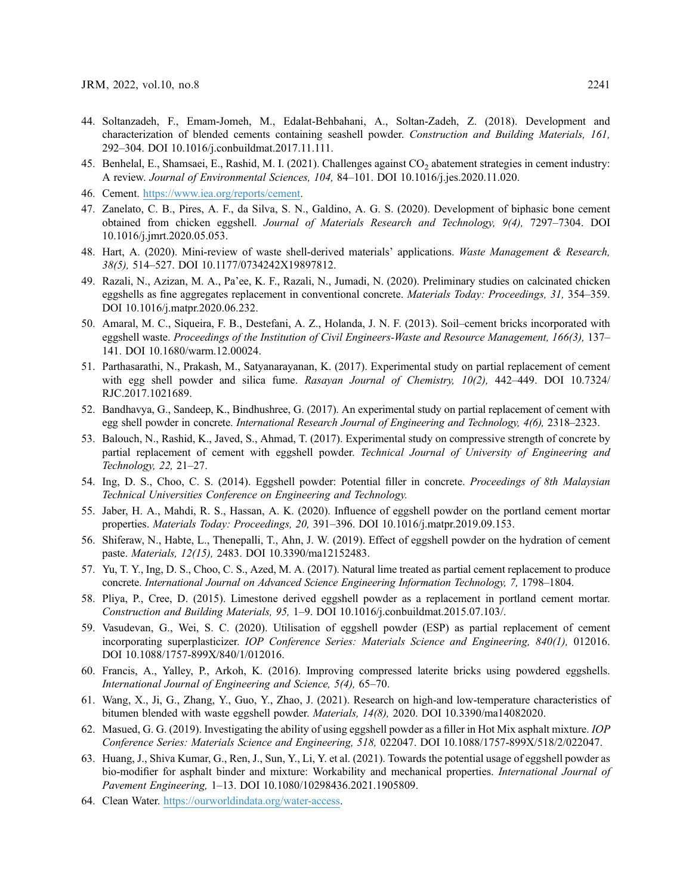- <span id="page-24-0"></span>44. Soltanzadeh, F., Emam-Jomeh, M., Edalat-Behbahani, A., Soltan-Zadeh, Z. (2018). Development and characterization of blended cements containing seashell powder. Construction and Building Materials, 161, 292–304. DOI [10.1016/j.conbuildmat.2017.11.111.](http://dx.doi.org/10.1016/j.conbuildmat.2017.11.111)
- <span id="page-24-1"></span>45. Benhelal, E., Shamsaei, E., Rashid, M. I. (2021). Challenges against  $CO<sub>2</sub>$  abatement strategies in cement industry: A review. Journal of Environmental Sciences, 104, 84–101. DOI [10.1016/j.jes.2020.11.020.](http://dx.doi.org/10.1016/j.jes.2020.11.020)
- <span id="page-24-2"></span>46. Cement. [https://www.iea.org/reports/cement.](https://www.iea.org/reports/cement)
- <span id="page-24-3"></span>47. Zanelato, C. B., Pires, A. F., da Silva, S. N., Galdino, A. G. S. (2020). Development of biphasic bone cement obtained from chicken eggshell. Journal of Materials Research and Technology, 9(4), 7297–7304. DOI [10.1016/j.jmrt.2020.05.053.](http://dx.doi.org/10.1016/j.jmrt.2020.05.053)
- <span id="page-24-4"></span>48. Hart, A. (2020). Mini-review of waste shell-derived materials' applications. Waste Management & Research, 38(5), 514–527. DOI [10.1177/0734242X19897812](http://dx.doi.org/10.1177/0734242X19897812).
- <span id="page-24-5"></span>49. Razali, N., Azizan, M. A., Pa'ee, K. F., Razali, N., Jumadi, N. (2020). Preliminary studies on calcinated chicken eggshells as fine aggregates replacement in conventional concrete. Materials Today: Proceedings, 31, 354–359. DOI [10.1016/j.matpr.2020.06.232](http://dx.doi.org/10.1016/j.matpr.2020.06.232).
- <span id="page-24-6"></span>50. Amaral, M. C., Siqueira, F. B., Destefani, A. Z., Holanda, J. N. F. (2013). Soil–cement bricks incorporated with eggshell waste. Proceedings of the Institution of Civil Engineers-Waste and Resource Management, 166(3), 137– 141. DOI [10.1680/warm.12.00024.](http://dx.doi.org/10.1680/warm.12.00024)
- <span id="page-24-15"></span>51. Parthasarathi, N., Prakash, M., Satyanarayanan, K. (2017). Experimental study on partial replacement of cement with egg shell powder and silica fume. Rasayan Journal of Chemistry, 10(2), 442–449. DOI [10.7324/](http://dx.doi.org/10.7324/RJC.2017.1021689) [RJC.2017.1021689.](http://dx.doi.org/10.7324/RJC.2017.1021689)
- <span id="page-24-16"></span>52. Bandhavya, G., Sandeep, K., Bindhushree, G. (2017). An experimental study on partial replacement of cement with egg shell powder in concrete. International Research Journal of Engineering and Technology, 4(6), 2318–2323.
- <span id="page-24-17"></span>53. Balouch, N., Rashid, K., Javed, S., Ahmad, T. (2017). Experimental study on compressive strength of concrete by partial replacement of cement with eggshell powder. Technical Journal of University of Engineering and Technology, 22, 21–27.
- <span id="page-24-7"></span>54. Ing, D. S., Choo, C. S. (2014). Eggshell powder: Potential filler in concrete. Proceedings of 8th Malaysian Technical Universities Conference on Engineering and Technology.
- <span id="page-24-8"></span>55. Jaber, H. A., Mahdi, R. S., Hassan, A. K. (2020). Influence of eggshell powder on the portland cement mortar properties. Materials Today: Proceedings, 20, 391–396. DOI [10.1016/j.matpr.2019.09.153](http://dx.doi.org/10.1016/j.matpr.2019.09.153).
- <span id="page-24-18"></span>56. Shiferaw, N., Habte, L., Thenepalli, T., Ahn, J. W. (2019). Effect of eggshell powder on the hydration of cement paste. Materials, 12(15), 2483. DOI [10.3390/ma12152483](http://dx.doi.org/10.3390/ma12152483).
- <span id="page-24-9"></span>57. Yu, T. Y., Ing, D. S., Choo, C. S., Azed, M. A. (2017). Natural lime treated as partial cement replacement to produce concrete. International Journal on Advanced Science Engineering Information Technology, 7, 1798–1804.
- <span id="page-24-10"></span>58. Pliya, P., Cree, D. (2015). Limestone derived eggshell powder as a replacement in portland cement mortar. Construction and Building Materials, 95, 1–9. DOI [10.1016/j.conbuildmat.2015.07.103/.](http://dx.doi.org/10.1016/j.conbuildmat.2015.07.103/)
- <span id="page-24-11"></span>59. Vasudevan, G., Wei, S. C. (2020). Utilisation of eggshell powder (ESP) as partial replacement of cement incorporating superplasticizer. IOP Conference Series: Materials Science and Engineering, 840(1), 012016. DOI [10.1088/1757-899X/840/1/012016.](http://dx.doi.org/10.1088/1757-899X/840/1/012016)
- <span id="page-24-12"></span>60. Francis, A., Yalley, P., Arkoh, K. (2016). Improving compressed laterite bricks using powdered eggshells. International Journal of Engineering and Science, 5(4), 65–70.
- <span id="page-24-13"></span>61. Wang, X., Ji, G., Zhang, Y., Guo, Y., Zhao, J. (2021). Research on high-and low-temperature characteristics of bitumen blended with waste eggshell powder. Materials, 14(8), 2020. DOI [10.3390/ma14082020.](http://dx.doi.org/10.3390/ma14082020)
- <span id="page-24-19"></span>62. Masued, G. G. (2019). Investigating the ability of using eggshell powder as a filler in Hot Mix asphalt mixture. IOP Conference Series: Materials Science and Engineering, 518, 022047. DOI [10.1088/1757-899X/518/2/022047.](http://dx.doi.org/10.1088/1757-899X/518/2/022047)
- <span id="page-24-14"></span>63. Huang, J., Shiva Kumar, G., Ren, J., Sun, Y., Li, Y. et al. (2021). Towards the potential usage of eggshell powder as bio-modifier for asphalt binder and mixture: Workability and mechanical properties. International Journal of Pavement Engineering, 1–13. DOI [10.1080/10298436.2021.1905809.](http://dx.doi.org/10.1080/10298436.2021.1905809)
- <span id="page-24-20"></span>64. Clean Water. [https://ourworldindata.org/water-access.](https://ourworldindata.org/water-access)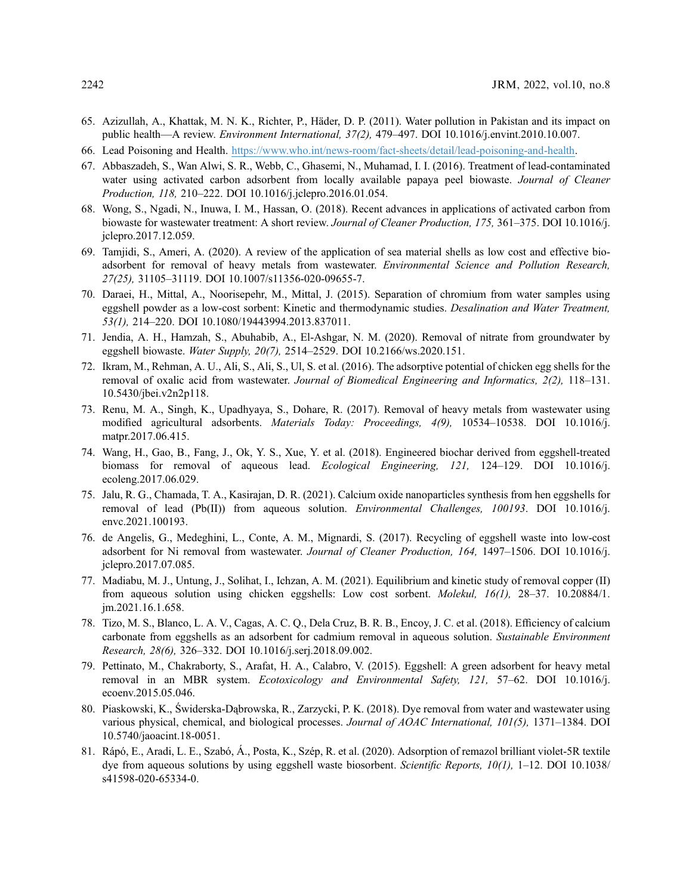- <span id="page-25-0"></span>65. Azizullah, A., Khattak, M. N. K., Richter, P., Häder, D. P. (2011). Water pollution in Pakistan and its impact on public health—A review. *Environment International*, 37(2), 479-497. DOI [10.1016/j.envint.2010.10.007](http://dx.doi.org/10.1016/j.envint.2010.10.007).
- <span id="page-25-1"></span>66. Lead Poisoning and Health. [https://www.who.int/news-room/fact-sheets/detail/lead-poisoning-and-health.](https://www.who.int/news-room/fact-sheets/detail/lead-poisoning-and-health)
- <span id="page-25-2"></span>67. Abbaszadeh, S., Wan Alwi, S. R., Webb, C., Ghasemi, N., Muhamad, I. I. (2016). Treatment of lead-contaminated water using activated carbon adsorbent from locally available papaya peel biowaste. Journal of Cleaner Production, 118, 210–222. DOI [10.1016/j.jclepro.2016.01.054](http://dx.doi.org/10.1016/j.jclepro.2016.01.054).
- <span id="page-25-3"></span>68. Wong, S., Ngadi, N., Inuwa, I. M., Hassan, O. (2018). Recent advances in applications of activated carbon from biowaste for wastewater treatment: A short review. Journal of Cleaner Production, 175, 361–375. DOI [10.1016/j.](http://dx.doi.org/10.1016/j.jclepro.2017.12.059) [jclepro.2017.12.059](http://dx.doi.org/10.1016/j.jclepro.2017.12.059).
- <span id="page-25-4"></span>69. Tamjidi, S., Ameri, A. (2020). A review of the application of sea material shells as low cost and effective bioadsorbent for removal of heavy metals from wastewater. Environmental Science and Pollution Research, 27(25), 31105–31119. DOI [10.1007/s11356-020-09655-7.](http://dx.doi.org/10.1007/s11356-020-09655-7)
- <span id="page-25-5"></span>70. Daraei, H., Mittal, A., Noorisepehr, M., Mittal, J. (2015). Separation of chromium from water samples using eggshell powder as a low-cost sorbent: Kinetic and thermodynamic studies. Desalination and Water Treatment, 53(1), 214–220. DOI [10.1080/19443994.2013.837011.](http://dx.doi.org/10.1080/19443994.2013.837011)
- <span id="page-25-15"></span>71. Jendia, A. H., Hamzah, S., Abuhabib, A., El-Ashgar, N. M. (2020). Removal of nitrate from groundwater by eggshell biowaste. Water Supply, 20(7), 2514–2529. DOI [10.2166/ws.2020.151](http://dx.doi.org/10.2166/ws.2020.151).
- <span id="page-25-16"></span>72. Ikram, M., Rehman, A. U., Ali, S., Ali, S., Ul, S. et al. (2016). The adsorptive potential of chicken egg shells for the removal of oxalic acid from wastewater. Journal of Biomedical Engineering and Informatics, 2(2), 118–131. [10.5430/jbei.v2n2p118](http://dx.doi.org/10.5430/jbei.v2n2p118).
- <span id="page-25-6"></span>73. Renu, M. A., Singh, K., Upadhyaya, S., Dohare, R. (2017). Removal of heavy metals from wastewater using modified agricultural adsorbents. Materials Today: Proceedings, 4(9), 10534–10538. DOI [10.1016/j.](http://dx.doi.org/10.1016/j.matpr.2017.06.415) [matpr.2017.06.415](http://dx.doi.org/10.1016/j.matpr.2017.06.415).
- <span id="page-25-7"></span>74. Wang, H., Gao, B., Fang, J., Ok, Y. S., Xue, Y. et al. (2018). Engineered biochar derived from eggshell-treated biomass for removal of aqueous lead. Ecological Engineering, 121, 124-129. DOI [10.1016/j.](http://dx.doi.org/10.1016/j.ecoleng.2017.06.029) [ecoleng.2017.06.029.](http://dx.doi.org/10.1016/j.ecoleng.2017.06.029)
- <span id="page-25-8"></span>75. Jalu, R. G., Chamada, T. A., Kasirajan, D. R. (2021). Calcium oxide nanoparticles synthesis from hen eggshells for removal of lead (Pb(II)) from aqueous solution. *Environmental Challenges*, 100193. DOI [10.1016/j.](http://dx.doi.org/10.1016/j.envc.2021.100193) [envc.2021.100193](http://dx.doi.org/10.1016/j.envc.2021.100193).
- <span id="page-25-9"></span>76. de Angelis, G., Medeghini, L., Conte, A. M., Mignardi, S. (2017). Recycling of eggshell waste into low-cost adsorbent for Ni removal from wastewater. Journal of Cleaner Production, 164, 1497–1506. DOI [10.1016/j.](http://dx.doi.org/10.1016/j.jclepro.2017.07.085) [jclepro.2017.07.085](http://dx.doi.org/10.1016/j.jclepro.2017.07.085).
- <span id="page-25-10"></span>77. Madiabu, M. J., Untung, J., Solihat, I., Ichzan, A. M. (2021). Equilibrium and kinetic study of removal copper (II) from aqueous solution using chicken eggshells: Low cost sorbent. Molekul, 16(1), 28–37. [10.20884/1.](http://dx.doi.org/10.20884/1.jm.2021.16.1.658) [jm.2021.16.1.658.](http://dx.doi.org/10.20884/1.jm.2021.16.1.658)
- <span id="page-25-11"></span>78. Tizo, M. S., Blanco, L. A. V., Cagas, A. C. Q., Dela Cruz, B. R. B., Encoy, J. C. et al. (2018). Efficiency of calcium carbonate from eggshells as an adsorbent for cadmium removal in aqueous solution. Sustainable Environment Research, 28(6), 326–332. DOI [10.1016/j.serj.2018.09.002](http://dx.doi.org/10.1016/j.serj.2018.09.002).
- <span id="page-25-12"></span>79. Pettinato, M., Chakraborty, S., Arafat, H. A., Calabro, V. (2015). Eggshell: A green adsorbent for heavy metal removal in an MBR system. Ecotoxicology and Environmental Safety, 121, 57–62. DOI [10.1016/j.](http://dx.doi.org/10.1016/j.ecoenv.2015.05.046) [ecoenv.2015.05.046](http://dx.doi.org/10.1016/j.ecoenv.2015.05.046).
- <span id="page-25-13"></span>80. Piaskowski, K., Świderska-Dąbrowska, R., Zarzycki, P. K. (2018). Dye removal from water and wastewater using various physical, chemical, and biological processes. Journal of AOAC International, 101(5), 1371–1384. DOI [10.5740/jaoacint.18-0051](http://dx.doi.org/10.5740/jaoacint.18-0051).
- <span id="page-25-14"></span>81. Rápó, E., Aradi, L. E., Szabó, Á., Posta, K., Szép, R. et al. (2020). Adsorption of remazol brilliant violet-5R textile dye from aqueous solutions by using eggshell waste biosorbent. Scientific Reports, 10(1), 1-12. DOI [10.1038/](http://dx.doi.org/10.1038/s41598-020-65334-0) [s41598-020-65334-0.](http://dx.doi.org/10.1038/s41598-020-65334-0)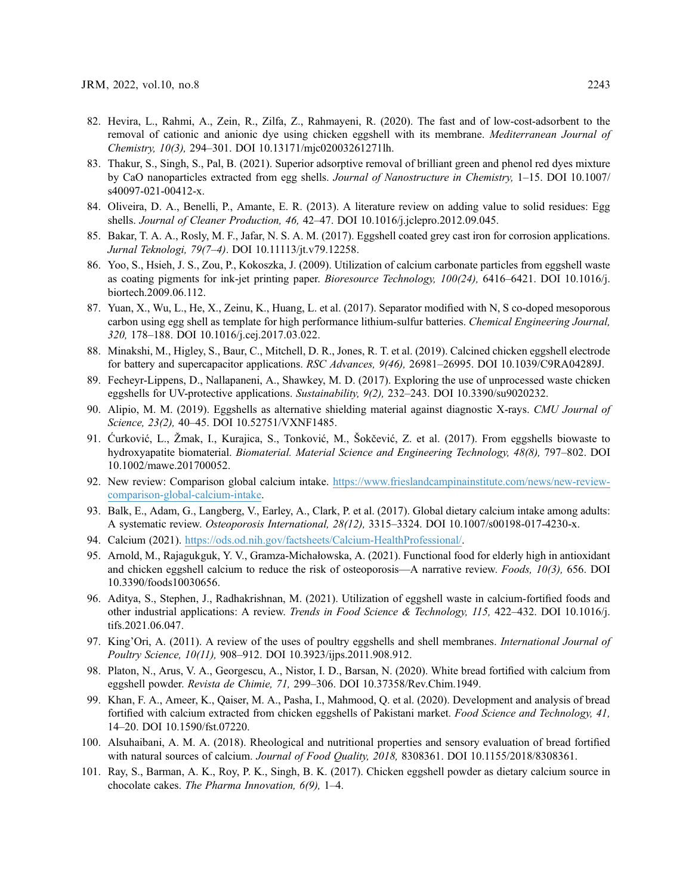- <span id="page-26-0"></span>82. Hevira, L., Rahmi, A., Zein, R., Zilfa, Z., Rahmayeni, R. (2020). The fast and of low-cost-adsorbent to the removal of cationic and anionic dye using chicken eggshell with its membrane. Mediterranean Journal of Chemistry, 10(3), 294–301. DOI [10.13171/mjc02003261271lh](http://dx.doi.org/10.13171/mjc02003261271lh).
- <span id="page-26-1"></span>83. Thakur, S., Singh, S., Pal, B. (2021). Superior adsorptive removal of brilliant green and phenol red dyes mixture by CaO nanoparticles extracted from egg shells. Journal of Nanostructure in Chemistry, 1–15. DOI [10.1007/](http://dx.doi.org/10.1007/s40097-021-00412-x) [s40097-021-00412-x.](http://dx.doi.org/10.1007/s40097-021-00412-x)
- <span id="page-26-2"></span>84. Oliveira, D. A., Benelli, P., Amante, E. R. (2013). A literature review on adding value to solid residues: Egg shells. Journal of Cleaner Production, 46, 42–47. DOI [10.1016/j.jclepro.2012.09.045](http://dx.doi.org/10.1016/j.jclepro.2012.09.045).
- <span id="page-26-3"></span>85. Bakar, T. A. A., Rosly, M. F., Jafar, N. S. A. M. (2017). Eggshell coated grey cast iron for corrosion applications. Jurnal Teknologi, 79(7–4). DOI [10.11113/jt.v79.12258.](http://dx.doi.org/10.11113/jt.v79.12258)
- <span id="page-26-4"></span>86. Yoo, S., Hsieh, J. S., Zou, P., Kokoszka, J. (2009). Utilization of calcium carbonate particles from eggshell waste as coating pigments for ink-jet printing paper. Bioresource Technology, 100(24), 6416–6421. DOI [10.1016/j.](http://dx.doi.org/10.1016/j.biortech.2009.06.112) [biortech.2009.06.112.](http://dx.doi.org/10.1016/j.biortech.2009.06.112)
- <span id="page-26-5"></span>87. Yuan, X., Wu, L., He, X., Zeinu, K., Huang, L. et al. (2017). Separator modified with N, S co-doped mesoporous carbon using egg shell as template for high performance lithium-sulfur batteries. Chemical Engineering Journal, 320, 178–188. DOI [10.1016/j.cej.2017.03.022](http://dx.doi.org/10.1016/j.cej.2017.03.022).
- <span id="page-26-6"></span>88. Minakshi, M., Higley, S., Baur, C., Mitchell, D. R., Jones, R. T. et al. (2019). Calcined chicken eggshell electrode for battery and supercapacitor applications. RSC Advances, 9(46), 26981-26995. DOI [10.1039/C9RA04289J.](http://dx.doi.org/10.1039/C9RA04289J)
- <span id="page-26-7"></span>89. Fecheyr-Lippens, D., Nallapaneni, A., Shawkey, M. D. (2017). Exploring the use of unprocessed waste chicken eggshells for UV-protective applications. Sustainability, 9(2), 232-243. DOI [10.3390/su9020232](http://dx.doi.org/10.3390/su9020232).
- <span id="page-26-8"></span>90. Alipio, M. M. (2019). Eggshells as alternative shielding material against diagnostic X-rays. CMU Journal of Science, 23(2), 40–45. DOI [10.52751/VXNF1485](http://dx.doi.org/10.52751/VXNF1485).
- <span id="page-26-9"></span>91. Ćurković, L., Žmak, I., Kurajica, S., Tonković, M., Šokčević, Z. et al. (2017). From eggshells biowaste to hydroxyapatite biomaterial. Biomaterial. Material Science and Engineering Technology, 48(8), 797–802. DOI [10.1002/mawe.201700052.](http://dx.doi.org/10.1002/mawe.201700052)
- <span id="page-26-10"></span>92. New review: Comparison global calcium intake. [https://www.frieslandcampinainstitute.com/news/new-review](https://www.frieslandcampinainstitute.com/news/new-review-comparison-global-calcium-intake)[comparison-global-calcium-intake](https://www.frieslandcampinainstitute.com/news/new-review-comparison-global-calcium-intake).
- <span id="page-26-11"></span>93. Balk, E., Adam, G., Langberg, V., Earley, A., Clark, P. et al. (2017). Global dietary calcium intake among adults: A systematic review. Osteoporosis International, 28(12), 3315–3324. DOI [10.1007/s00198-017-4230-x.](http://dx.doi.org/10.1007/s00198-017-4230-x)
- <span id="page-26-12"></span>94. Calcium (2021). [https://ods.od.nih.gov/factsheets/Calcium-HealthProfessional/.](https://ods.od.nih.gov/factsheets/Calcium-HealthProfessional/)
- <span id="page-26-13"></span>95. Arnold, M., Rajagukguk, Y. V., Gramza-Michałowska, A. (2021). Functional food for elderly high in antioxidant and chicken eggshell calcium to reduce the risk of osteoporosis—A narrative review. Foods, 10(3), 656. DOI [10.3390/foods10030656.](http://dx.doi.org/10.3390/foods10030656)
- <span id="page-26-14"></span>96. Aditya, S., Stephen, J., Radhakrishnan, M. (2021). Utilization of eggshell waste in calcium-fortified foods and other industrial applications: A review. Trends in Food Science & Technology, 115, 422–432. DOI [10.1016/j.](http://dx.doi.org/10.1016/j.tifs.2021.06.047) [tifs.2021.06.047](http://dx.doi.org/10.1016/j.tifs.2021.06.047).
- <span id="page-26-15"></span>97. King'Ori, A. (2011). A review of the uses of poultry eggshells and shell membranes. International Journal of Poultry Science, 10(11), 908–912. DOI [10.3923/ijps.2011.908.912](http://dx.doi.org/10.3923/ijps.2011.908.912).
- <span id="page-26-16"></span>98. Platon, N., Arus, V. A., Georgescu, A., Nistor, I. D., Barsan, N. (2020). White bread fortified with calcium from eggshell powder. Revista de Chimie, 71, 299–306. DOI [10.37358/Rev.Chim.1949](http://dx.doi.org/10.37358/Rev.Chim.1949).
- <span id="page-26-19"></span>99. Khan, F. A., Ameer, K., Qaiser, M. A., Pasha, I., Mahmood, Q. et al. (2020). Development and analysis of bread fortified with calcium extracted from chicken eggshells of Pakistani market. Food Science and Technology, 41, 14–20. DOI [10.1590/fst.07220.](http://dx.doi.org/10.1590/fst.07220)
- <span id="page-26-17"></span>100. Alsuhaibani, A. M. A. (2018). Rheological and nutritional properties and sensory evaluation of bread fortified with natural sources of calcium. Journal of Food Quality, 2018, 8308361. DOI [10.1155/2018/8308361.](http://dx.doi.org/10.1155/2018/8308361)
- <span id="page-26-18"></span>101. Ray, S., Barman, A. K., Roy, P. K., Singh, B. K. (2017). Chicken eggshell powder as dietary calcium source in chocolate cakes. The Pharma Innovation, 6(9), 1–4.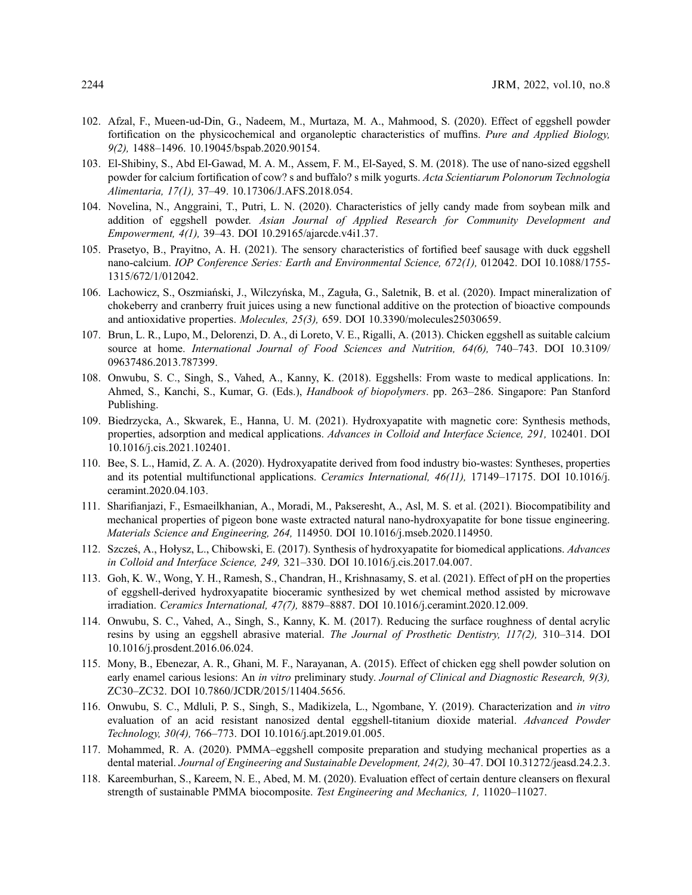- <span id="page-27-0"></span>102. Afzal, F., Mueen-ud-Din, G., Nadeem, M., Murtaza, M. A., Mahmood, S. (2020). Effect of eggshell powder fortification on the physicochemical and organoleptic characteristics of muffins. Pure and Applied Biology, 9(2), 1488–1496. [10.19045/bspab.2020.90154.](http://dx.doi.org/10.19045/bspab.2020.90154)
- <span id="page-27-1"></span>103. El-Shibiny, S., Abd El-Gawad, M. A. M., Assem, F. M., El-Sayed, S. M. (2018). The use of nano-sized eggshell powder for calcium fortification of cow? s and buffalo? s milk yogurts. Acta Scientiarum Polonorum Technologia Alimentaria, 17(1), 37–49. [10.17306/J.AFS.2018.054](http://dx.doi.org/10.17306/J.AFS.2018.054).
- <span id="page-27-2"></span>104. Novelina, N., Anggraini, T., Putri, L. N. (2020). Characteristics of jelly candy made from soybean milk and addition of eggshell powder. Asian Journal of Applied Research for Community Development and Empowerment, 4(1), 39–43. DOI [10.29165/ajarcde.v4i1.37](http://dx.doi.org/10.29165/ajarcde.v4i1.37).
- <span id="page-27-3"></span>105. Prasetyo, B., Prayitno, A. H. (2021). The sensory characteristics of fortified beef sausage with duck eggshell nano-calcium. IOP Conference Series: Earth and Environmental Science, 672(1), 012042. DOI [10.1088/1755-](http://dx.doi.org/10.1088/1755-1315/672/1/012042) [1315/672/1/012042](http://dx.doi.org/10.1088/1755-1315/672/1/012042).
- <span id="page-27-4"></span>106. Lachowicz, S., Oszmiański, J., Wilczyńska, M., Zaguła, G., Saletnik, B. et al. (2020). Impact mineralization of chokeberry and cranberry fruit juices using a new functional additive on the protection of bioactive compounds and antioxidative properties. Molecules, 25(3), 659. DOI [10.3390/molecules25030659](http://dx.doi.org/10.3390/molecules25030659).
- <span id="page-27-5"></span>107. Brun, L. R., Lupo, M., Delorenzi, D. A., di Loreto, V. E., Rigalli, A. (2013). Chicken eggshell as suitable calcium source at home. International Journal of Food Sciences and Nutrition, 64(6), 740-743. DOI [10.3109/](http://dx.doi.org/10.3109/09637486.2013.787399) [09637486.2013.787399](http://dx.doi.org/10.3109/09637486.2013.787399).
- <span id="page-27-6"></span>108. Onwubu, S. C., Singh, S., Vahed, A., Kanny, K. (2018). Eggshells: From waste to medical applications. In: Ahmed, S., Kanchi, S., Kumar, G. (Eds.), Handbook of biopolymers. pp. 263–286. Singapore: Pan Stanford Publishing.
- <span id="page-27-7"></span>109. Biedrzycka, A., Skwarek, E., Hanna, U. M. (2021). Hydroxyapatite with magnetic core: Synthesis methods, properties, adsorption and medical applications. Advances in Colloid and Interface Science, 291, 102401. DOI [10.1016/j.cis.2021.102401.](http://dx.doi.org/10.1016/j.cis.2021.102401)
- <span id="page-27-8"></span>110. Bee, S. L., Hamid, Z. A. A. (2020). Hydroxyapatite derived from food industry bio-wastes: Syntheses, properties and its potential multifunctional applications. Ceramics International, 46(11), 17149–17175. DOI [10.1016/j.](http://dx.doi.org/10.1016/j.ceramint.2020.04.103) [ceramint.2020.04.103.](http://dx.doi.org/10.1016/j.ceramint.2020.04.103)
- <span id="page-27-9"></span>111. Sharifianjazi, F., Esmaeilkhanian, A., Moradi, M., Pakseresht, A., Asl, M. S. et al. (2021). Biocompatibility and mechanical properties of pigeon bone waste extracted natural nano-hydroxyapatite for bone tissue engineering. Materials Science and Engineering, 264, 114950. DOI [10.1016/j.mseb.2020.114950.](http://dx.doi.org/10.1016/j.mseb.2020.114950)
- 112. Szcześ, A., Hołysz, L., Chibowski, E. (2017). Synthesis of hydroxyapatite for biomedical applications. Advances in Colloid and Interface Science, 249, 321–330. DOI [10.1016/j.cis.2017.04.007.](http://dx.doi.org/10.1016/j.cis.2017.04.007)
- <span id="page-27-10"></span>113. Goh, K. W., Wong, Y. H., Ramesh, S., Chandran, H., Krishnasamy, S. et al. (2021). Effect of pH on the properties of eggshell-derived hydroxyapatite bioceramic synthesized by wet chemical method assisted by microwave irradiation. Ceramics International, 47(7), 8879–8887. DOI [10.1016/j.ceramint.2020.12.009](http://dx.doi.org/10.1016/j.ceramint.2020.12.009).
- <span id="page-27-11"></span>114. Onwubu, S. C., Vahed, A., Singh, S., Kanny, K. M. (2017). Reducing the surface roughness of dental acrylic resins by using an eggshell abrasive material. The Journal of Prosthetic Dentistry, 117(2), 310–314. DOI [10.1016/j.prosdent.2016.06.024.](http://dx.doi.org/10.1016/j.prosdent.2016.06.024)
- <span id="page-27-15"></span>115. Mony, B., Ebenezar, A. R., Ghani, M. F., Narayanan, A. (2015). Effect of chicken egg shell powder solution on early enamel carious lesions: An in vitro preliminary study. Journal of Clinical and Diagnostic Research, 9(3), ZC30–ZC32. DOI [10.7860/JCDR/2015/11404.5656](http://dx.doi.org/10.7860/JCDR/2015/11404.5656).
- <span id="page-27-12"></span>116. Onwubu, S. C., Mdluli, P. S., Singh, S., Madikizela, L., Ngombane, Y. (2019). Characterization and in vitro evaluation of an acid resistant nanosized dental eggshell-titanium dioxide material. Advanced Powder Technology, 30(4), 766–773. DOI [10.1016/j.apt.2019.01.005](http://dx.doi.org/10.1016/j.apt.2019.01.005).
- <span id="page-27-13"></span>117. Mohammed, R. A. (2020). PMMA–eggshell composite preparation and studying mechanical properties as a dental material. Journal of Engineering and Sustainable Development, 24(2), 30-47. DOI [10.31272/jeasd.24.2.3.](http://dx.doi.org/10.31272/jeasd.24.2.3)
- <span id="page-27-14"></span>118. Kareemburhan, S., Kareem, N. E., Abed, M. M. (2020). Evaluation effect of certain denture cleansers on flexural strength of sustainable PMMA biocomposite. Test Engineering and Mechanics, 1, 11020–11027.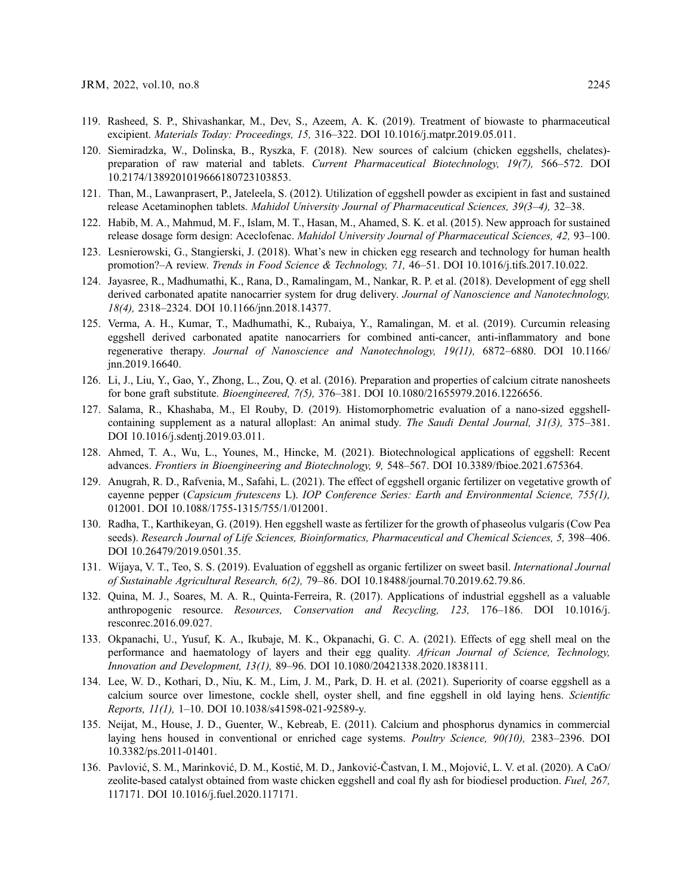- <span id="page-28-0"></span>119. Rasheed, S. P., Shivashankar, M., Dev, S., Azeem, A. K. (2019). Treatment of biowaste to pharmaceutical excipient. Materials Today: Proceedings, 15, 316–322. DOI [10.1016/j.matpr.2019.05.011](http://dx.doi.org/10.1016/j.matpr.2019.05.011).
- <span id="page-28-1"></span>120. Siemiradzka, W., Dolinska, B., Ryszka, F. (2018). New sources of calcium (chicken eggshells, chelates) preparation of raw material and tablets. Current Pharmaceutical Biotechnology, 19(7), 566–572. DOI [10.2174/1389201019666180723103853](http://dx.doi.org/10.2174/1389201019666180723103853).
- <span id="page-28-2"></span>121. Than, M., Lawanprasert, P., Jateleela, S. (2012). Utilization of eggshell powder as excipient in fast and sustained release Acetaminophen tablets. Mahidol University Journal of Pharmaceutical Sciences, 39(3–4), 32–38.
- <span id="page-28-3"></span>122. Habib, M. A., Mahmud, M. F., Islam, M. T., Hasan, M., Ahamed, S. K. et al. (2015). New approach for sustained release dosage form design: Aceclofenac. Mahidol University Journal of Pharmaceutical Sciences, 42, 93–100.
- <span id="page-28-4"></span>123. Lesnierowski, G., Stangierski, J. (2018). What's new in chicken egg research and technology for human health promotion?–A review. Trends in Food Science & Technology, 71, 46–51. DOI [10.1016/j.tifs.2017.10.022](http://dx.doi.org/10.1016/j.tifs.2017.10.022).
- <span id="page-28-5"></span>124. Jayasree, R., Madhumathi, K., Rana, D., Ramalingam, M., Nankar, R. P. et al. (2018). Development of egg shell derived carbonated apatite nanocarrier system for drug delivery. Journal of Nanoscience and Nanotechnology, 18(4), 2318–2324. DOI [10.1166/jnn.2018.14377.](http://dx.doi.org/10.1166/jnn.2018.14377)
- <span id="page-28-6"></span>125. Verma, A. H., Kumar, T., Madhumathi, K., Rubaiya, Y., Ramalingan, M. et al. (2019). Curcumin releasing eggshell derived carbonated apatite nanocarriers for combined anti-cancer, anti-inflammatory and bone regenerative therapy. Journal of Nanoscience and Nanotechnology, 19(11), 6872–6880. DOI [10.1166/](http://dx.doi.org/10.1166/jnn.2019.16640) [jnn.2019.16640](http://dx.doi.org/10.1166/jnn.2019.16640).
- <span id="page-28-7"></span>126. Li, J., Liu, Y., Gao, Y., Zhong, L., Zou, Q. et al. (2016). Preparation and properties of calcium citrate nanosheets for bone graft substitute. Bioengineered, 7(5), 376–381. DOI [10.1080/21655979.2016.1226656.](http://dx.doi.org/10.1080/21655979.2016.1226656)
- <span id="page-28-8"></span>127. Salama, R., Khashaba, M., El Rouby, D. (2019). Histomorphometric evaluation of a nano-sized eggshellcontaining supplement as a natural alloplast: An animal study. The Saudi Dental Journal, 31(3), 375–381. DOI [10.1016/j.sdentj.2019.03.011](http://dx.doi.org/10.1016/j.sdentj.2019.03.011).
- <span id="page-28-9"></span>128. Ahmed, T. A., Wu, L., Younes, M., Hincke, M. (2021). Biotechnological applications of eggshell: Recent advances. Frontiers in Bioengineering and Biotechnology, 9, 548–567. DOI [10.3389/fbioe.2021.675364.](http://dx.doi.org/10.3389/fbioe.2021.675364)
- <span id="page-28-10"></span>129. Anugrah, R. D., Rafvenia, M., Safahi, L. (2021). The effect of eggshell organic fertilizer on vegetative growth of cayenne pepper (Capsicum frutescens L). IOP Conference Series: Earth and Environmental Science, 755(1), 012001. DOI [10.1088/1755-1315/755/1/012001.](http://dx.doi.org/10.1088/1755-1315/755/1/012001)
- <span id="page-28-12"></span>130. Radha, T., Karthikeyan, G. (2019). Hen eggshell waste as fertilizer for the growth of phaseolus vulgaris (Cow Pea seeds). Research Journal of Life Sciences, Bioinformatics, Pharmaceutical and Chemical Sciences, 5, 398-406. DOI [10.26479/2019.0501.35](http://dx.doi.org/10.26479/2019.0501.35).
- <span id="page-28-11"></span>131. Wijaya, V. T., Teo, S. S. (2019). Evaluation of eggshell as organic fertilizer on sweet basil. *International Journal* of Sustainable Agricultural Research, 6(2), 79–86. DOI [10.18488/journal.70.2019.62.79.86.](http://dx.doi.org/10.18488/journal.70.2019.62.79.86)
- <span id="page-28-13"></span>132. Quina, M. J., Soares, M. A. R., Quinta-Ferreira, R. (2017). Applications of industrial eggshell as a valuable anthropogenic resource. Resources, Conservation and Recycling, 123, 176–186. DOI [10.1016/j.](http://dx.doi.org/10.1016/j.resconrec.2016.09.027) [resconrec.2016.09.027.](http://dx.doi.org/10.1016/j.resconrec.2016.09.027)
- <span id="page-28-16"></span>133. Okpanachi, U., Yusuf, K. A., Ikubaje, M. K., Okpanachi, G. C. A. (2021). Effects of egg shell meal on the performance and haematology of layers and their egg quality. African Journal of Science, Technology, Innovation and Development, 13(1), 89–96. DOI [10.1080/20421338.2020.1838111](http://dx.doi.org/10.1080/20421338.2020.1838111).
- <span id="page-28-14"></span>134. Lee, W. D., Kothari, D., Niu, K. M., Lim, J. M., Park, D. H. et al. (2021). Superiority of coarse eggshell as a calcium source over limestone, cockle shell, oyster shell, and fine eggshell in old laying hens. Scientific Reports, 11(1), 1–10. DOI [10.1038/s41598-021-92589-y.](http://dx.doi.org/10.1038/s41598-021-92589-y)
- <span id="page-28-15"></span>135. Neijat, M., House, J. D., Guenter, W., Kebreab, E. (2011). Calcium and phosphorus dynamics in commercial laying hens housed in conventional or enriched cage systems. Poultry Science, 90(10), 2383-2396. DOI [10.3382/ps.2011-01401.](http://dx.doi.org/10.3382/ps.2011-01401)
- <span id="page-28-17"></span>136. Pavlović, S. M., Marinković, D. M., Kostić, M. D., Janković-Častvan, I. M., Mojović, L. V. et al. (2020). A CaO/ zeolite-based catalyst obtained from waste chicken eggshell and coal fly ash for biodiesel production. Fuel, 267, 117171. DOI [10.1016/j.fuel.2020.117171](http://dx.doi.org/10.1016/j.fuel.2020.117171).